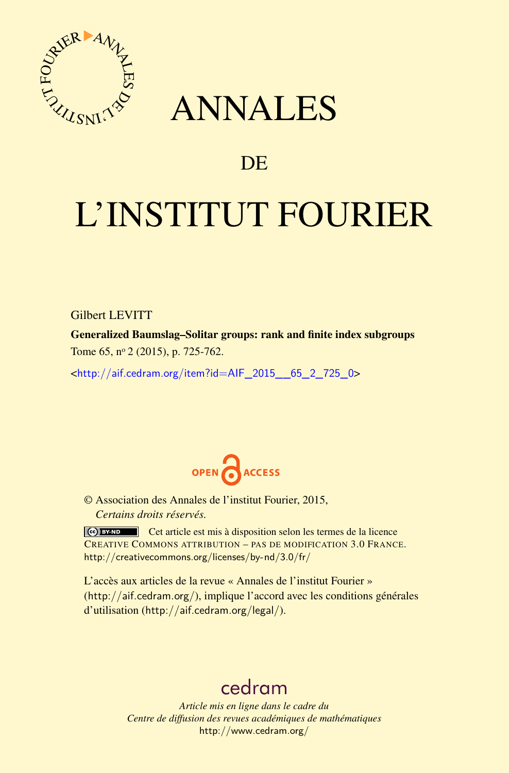

## ANNALES

### **DE**

# L'INSTITUT FOURIER

Gilbert LEVITT

Generalized Baumslag–Solitar groups: rank and finite index subgroups Tome 65, nº 2 (2015), p. 725-762.

<[http://aif.cedram.org/item?id=AIF\\_2015\\_\\_65\\_2\\_725\\_0](http://aif.cedram.org/item?id=AIF_2015__65_2_725_0)>



© Association des Annales de l'institut Fourier, 2015, *Certains droits réservés.*

Cet article est mis à disposition selon les termes de la licence CREATIVE COMMONS ATTRIBUTION – PAS DE MODIFICATION 3.0 FRANCE. <http://creativecommons.org/licenses/by-nd/3.0/fr/>

L'accès aux articles de la revue « Annales de l'institut Fourier » (<http://aif.cedram.org/>), implique l'accord avec les conditions générales d'utilisation (<http://aif.cedram.org/legal/>).

## [cedram](http://www.cedram.org/)

*Article mis en ligne dans le cadre du Centre de diffusion des revues académiques de mathématiques* <http://www.cedram.org/>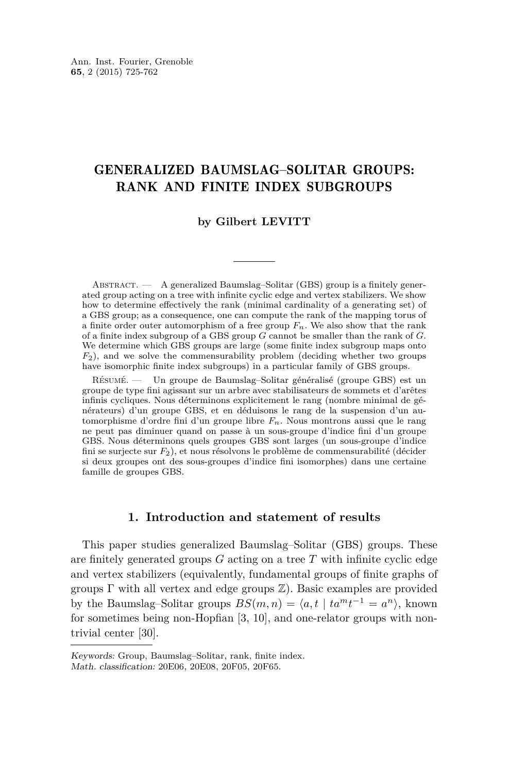#### GENERALIZED BAUMSLAG–SOLITAR GROUPS: RANK AND FINITE INDEX SUBGROUPS

#### **by Gilbert LEVITT**

ABSTRACT. — A generalized Baumslag–Solitar (GBS) group is a finitely generated group acting on a tree with infinite cyclic edge and vertex stabilizers. We show how to determine effectively the rank (minimal cardinality of a generating set) of a GBS group; as a consequence, one can compute the rank of the mapping torus of a finite order outer automorphism of a free group *Fn*. We also show that the rank of a finite index subgroup of a GBS group *G* cannot be smaller than the rank of *G*. We determine which GBS groups are large (some finite index subgroup maps onto *F*2), and we solve the commensurability problem (deciding whether two groups have isomorphic finite index subgroups) in a particular family of GBS groups.

Résumé. — Un groupe de Baumslag–Solitar généralisé (groupe GBS) est un groupe de type fini agissant sur un arbre avec stabilisateurs de sommets et d'arêtes infinis cycliques. Nous déterminons explicitement le rang (nombre minimal de générateurs) d'un groupe GBS, et en déduisons le rang de la suspension d'un automorphisme d'ordre fini d'un groupe libre *Fn*. Nous montrons aussi que le rang ne peut pas diminuer quand on passe à un sous-groupe d'indice fini d'un groupe GBS. Nous déterminons quels groupes GBS sont larges (un sous-groupe d'indice fini se surjecte sur *F*2), et nous résolvons le problème de commensurabilité (décider si deux groupes ont des sous-groupes d'indice fini isomorphes) dans une certaine famille de groupes GBS.

#### **1. Introduction and statement of results**

This paper studies generalized Baumslag–Solitar (GBS) groups. These are finitely generated groups *G* acting on a tree *T* with infinite cyclic edge and vertex stabilizers (equivalently, fundamental groups of finite graphs of groups  $\Gamma$  with all vertex and edge groups  $\mathbb{Z}$ ). Basic examples are provided by the Baumslag–Solitar groups  $BS(m, n) = \langle a, t \mid ta^m t^{-1} = a^n \rangle$ , known for sometimes being non-Hopfian [\[3,](#page-36-0) [10\]](#page-36-0), and one-relator groups with nontrivial center [\[30\]](#page-37-0).

Keywords: Group, Baumslag–Solitar, rank, finite index. Math. classification: 20E06, 20E08, 20F05, 20F65.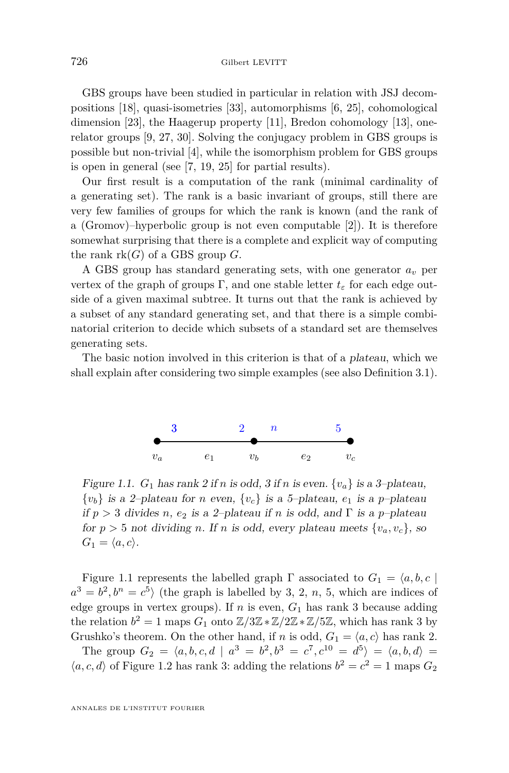<span id="page-2-0"></span>GBS groups have been studied in particular in relation with JSJ decompositions [\[18\]](#page-37-0), quasi-isometries [\[33\]](#page-37-0), automorphisms [\[6,](#page-36-0) [25\]](#page-37-0), cohomological dimension [\[23\]](#page-37-0), the Haagerup property [\[11\]](#page-36-0), Bredon cohomology [\[13\]](#page-37-0), onerelator groups [\[9,](#page-36-0) [27,](#page-37-0) [30\]](#page-37-0). Solving the conjugacy problem in GBS groups is possible but non-trivial [\[4\]](#page-36-0), while the isomorphism problem for GBS groups is open in general (see [\[7,](#page-36-0) [19,](#page-37-0) [25\]](#page-37-0) for partial results).

Our first result is a computation of the rank (minimal cardinality of a generating set). The rank is a basic invariant of groups, still there are very few families of groups for which the rank is known (and the rank of a (Gromov)–hyperbolic group is not even computable [\[2\]](#page-36-0)). It is therefore somewhat surprising that there is a complete and explicit way of computing the rank  $rk(G)$  of a GBS group  $G$ .

A GBS group has standard generating sets, with one generator *a<sup>v</sup>* per vertex of the graph of groups  $\Gamma$ , and one stable letter  $t_{\varepsilon}$  for each edge outside of a given maximal subtree. It turns out that the rank is achieved by a subset of any standard generating set, and that there is a simple combinatorial criterion to decide which subsets of a standard set are themselves generating sets.

The basic notion involved in this criterion is that of a plateau, which we shall explain after considering two simple examples (see also Definition [3.1\)](#page-8-0).



Figure 1.1.  $G_1$  has rank 2 if *n* is odd, 3 if *n* is even.  $\{v_a\}$  is a 3-plateau,  $\{v_b\}$  is a 2–plateau for *n* even,  $\{v_c\}$  is a 5–plateau,  $e_1$  is a p–plateau if  $p > 3$  divides *n*,  $e_2$  is a 2-plateau if *n* is odd, and  $\Gamma$  is a *p*-plateau for  $p > 5$  not dividing *n*. If *n* is odd, every plateau meets  $\{v_a, v_c\}$ , so  $G_1 = \langle a, c \rangle$ .

Figure 1.1 represents the labelled graph  $\Gamma$  associated to  $G_1 = \langle a, b, c \rangle$  $a^3 = b^2, b^n = c^5$ ) (the graph is labelled by 3, 2, *n*, 5, which are indices of edge groups in vertex groups). If *n* is even,  $G_1$  has rank 3 because adding the relation  $b^2 = 1$  maps  $G_1$  onto  $\mathbb{Z}/3\mathbb{Z} \times \mathbb{Z}/2\mathbb{Z} \times \mathbb{Z}/5\mathbb{Z}$ , which has rank 3 by Grushko's theorem. On the other hand, if *n* is odd,  $G_1 = \langle a, c \rangle$  has rank 2.

The group  $G_2 = \langle a, b, c, d \mid a^3 = b^2, b^3 = c^7, c^{10} = d^5 \rangle = \langle a, b, d \rangle =$  $\langle a, c, d \rangle$  of Figure [1.2](#page-3-0) has rank 3: adding the relations  $b^2 = c^2 = 1$  maps  $G_2$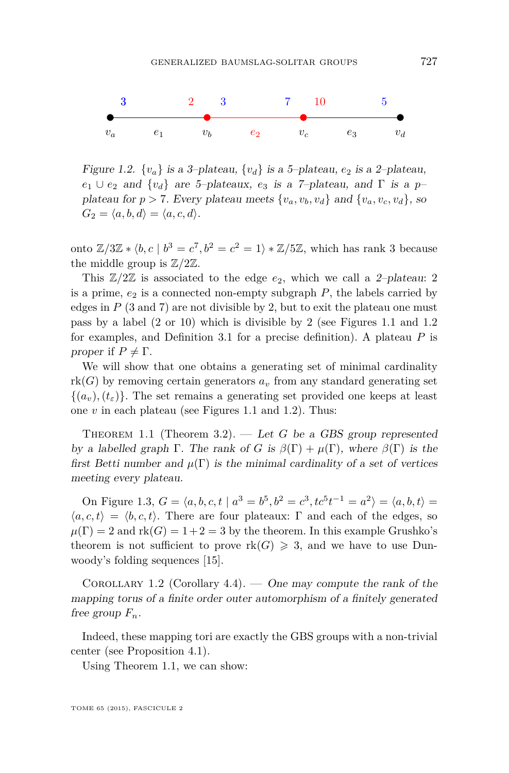<span id="page-3-0"></span>

Figure 1.2.  $\{v_a\}$  is a 3-plateau,  $\{v_d\}$  is a 5-plateau,  $e_2$  is a 2-plateau,  $e_1 \cup e_2$  and  $\{v_d\}$  are 5–plateaux,  $e_3$  is a 7–plateau, and  $\Gamma$  is a  $p$ plateau for  $p > 7$ . Every plateau meets  $\{v_a, v_b, v_d\}$  and  $\{v_a, v_c, v_d\}$ , so  $G_2 = \langle a, b, d \rangle = \langle a, c, d \rangle$ .

onto  $\mathbb{Z}/3\mathbb{Z} * \langle b, c \mid b^3 = c^7, b^2 = c^2 = 1 \rangle * \mathbb{Z}/5\mathbb{Z}$ , which has rank 3 because the middle group is  $\mathbb{Z}/2\mathbb{Z}$ .

This  $\mathbb{Z}/2\mathbb{Z}$  is associated to the edge  $e_2$ , which we call a 2-plateau: 2 is a prime,  $e_2$  is a connected non-empty subgraph  $P$ , the labels carried by edges in  $P$  (3 and 7) are not divisible by 2, but to exit the plateau one must pass by a label (2 or 10) which is divisible by 2 (see Figures [1.1](#page-2-0) and 1.2 for examples, and Definition [3.1](#page-8-0) for a precise definition). A plateau *P* is proper if  $P \neq \Gamma$ .

We will show that one obtains a generating set of minimal cardinality  $rk(G)$  by removing certain generators  $a<sub>v</sub>$  from any standard generating set  $\{(a_v), (t_\varepsilon)\}\.$  The set remains a generating set provided one keeps at least one *v* in each plateau (see Figures [1.1](#page-2-0) and 1.2). Thus:

THEOREM 1.1 (Theorem [3.2\)](#page-9-0). — Let *G* be a GBS group represented by a labelled graph  $\Gamma$ . The rank of *G* is  $\beta(\Gamma) + \mu(\Gamma)$ , where  $\beta(\Gamma)$  is the first Betti number and  $\mu(\Gamma)$  is the minimal cardinality of a set of vertices meeting every plateau.

On Figure [1.3,](#page-4-0)  $G = \langle a, b, c, t \mid a^3 = b^5, b^2 = c^3, tc^5t^{-1} = a^2 \rangle = \langle a, b, t \rangle =$  $\langle a, c, t \rangle = \langle b, c, t \rangle$ . There are four plateaux: Γ and each of the edges, so  $\mu(\Gamma) = 2$  and  $\text{rk}(G) = 1 + 2 = 3$  by the theorem. In this example Grushko's theorem is not sufficient to prove  $rk(G) \geq 3$ , and we have to use Dunwoody's folding sequences [\[15\]](#page-37-0).

COROLLARY 1.2 (Corollary [4.4\)](#page-14-0). — One may compute the rank of the mapping torus of a finite order outer automorphism of a finitely generated free group  $F_n$ .

Indeed, these mapping tori are exactly the GBS groups with a non-trivial center (see Proposition [4.1\)](#page-13-0).

Using Theorem 1.1, we can show: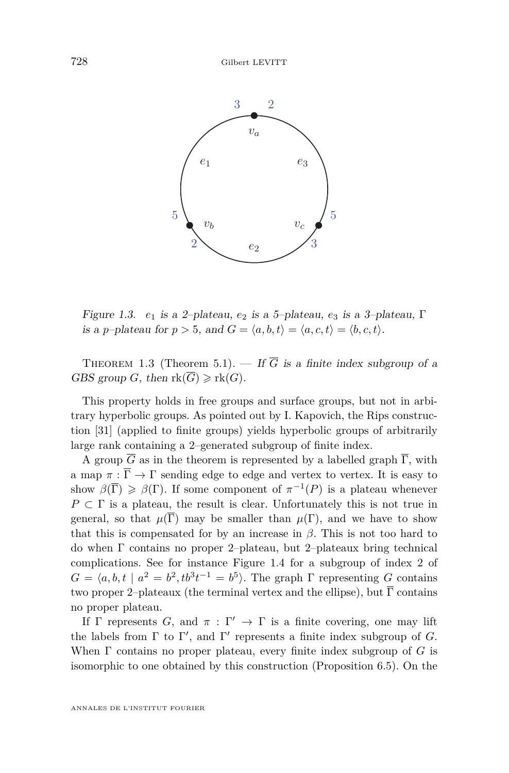<span id="page-4-0"></span>

Figure 1.3. *e*<sub>1</sub> is a 2-plateau, *e*<sub>2</sub> is a 5-plateau, *e*<sub>3</sub> is a 3-plateau,  $\Gamma$ is a *p*–plateau for  $p > 5$ , and  $G = \langle a, b, t \rangle = \langle a, c, t \rangle = \langle b, c, t \rangle$ .

 $\overline{A}$  group G as in the theorem is represented by a labelled graph  $\overline{A}$  , with a map  $\overline{A}$   $\overline{A}$   $\overline{A}$   $\overline{A}$   $\overline{A}$   $\overline{A}$   $\overline{A}$   $\overline{A}$   $\overline{A}$   $\overline{A}$   $\overline{A}$   $\overline{A}$   $\overline{A}$   $\overline{A}$   $\over$ THEOREM 1.3 (Theorem 5.1). — If  $\overline{G}$  is a finite index subgroup of a GBS group *G*, then  $\text{rk}(\overline{G}) \geqslant \text{rk}(G)$ .

This property holds in free groups and surface groups, but not in arbitrary hyperbolic groups. As pointed out by I. Kapovich, the Rips construc-tion [\[31\]](#page-37-0) (applied to finite groups) yields hyperbolic groups of arbitrarily large rank containing a 2–generated subgroup of finite index.

A group  $\overline{G}$  as in the theorem is represented by a labelled graph  $\overline{\Gamma}$ , with a map  $\pi : \overline{\Gamma} \to \Gamma$  sending edge to edge and vertex to vertex. It is easy to  $\ddot{\cdot}$ that this is compensated for by an increase in  $\beta$ . This is not too hard to 3 1 1 do when Γ contains no proper 2–plateau, but 2–plateaux bring technical show  $\beta(\overline{\Gamma}) \geq \beta(\Gamma)$ . If some component of  $\pi^{-1}(P)$  is a plateau whenever *P* ⊂ Γ is a plateau, the result is clear. Unfortunately this is not true in general, so that  $\mu(\overline{\Gamma})$  may be smaller than  $\mu(\Gamma)$ , and we have to show complications. See for instance Figure [1.4](#page-5-0) for a subgroup of index 2 of  $G = \langle a, b, t \mid a^2 = b^2, tb^3t^{-1} = b^5 \rangle$ . The graph  $\Gamma$  representing *G* contains two proper 2–plateaux (the terminal vertex and the ellipse), but  $\overline{\Gamma}$  contains no proper plateau.

If  $\Gamma$  represents *G*, and  $\pi : \Gamma' \to \Gamma$  is a finite covering, one may lift the labels from  $\Gamma$  to  $\Gamma'$ , and  $\Gamma'$  represents a finite index subgroup of *G*. When Γ contains no proper plateau, every finite index subgroup of *G* is isomorphic to one obtained by this construction (Proposition [6.5\)](#page-32-0). On the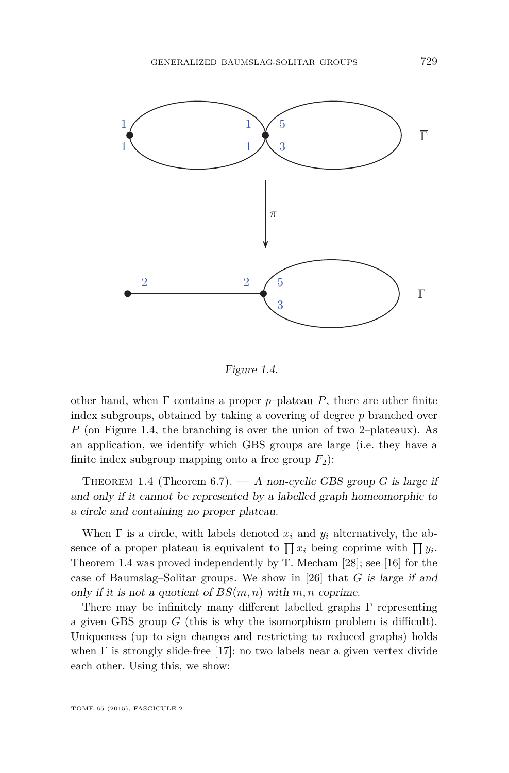<span id="page-5-0"></span>

 $\sigma$  is a finite covering, one may lift the labels from  $\sigma$ Figure 1.4.

other hand, when Γ contains a proper *p*–plateau *P*, there are other finite index subgroups, obtained by taking a covering of degree  $p$  branched over *P* (on Figure 1.4, the branching is over the union of two 2–plateaux). As an application, we identify which GBS groups are large (i.e. they have a finite index subgroup mapping onto a free group  $F_2$ ):

THEOREM 1.4 (Theorem [6.7\)](#page-33-0). — A non-cyclic GBS group  $G$  is large if 3 a circle and containing no proper plateau. and only if it cannot be represented by a labelled graph homeomorphic to

> When  $\Gamma$  is a circle, with labels denoted  $x_i$  and  $y_i$  alternatively, the absence of a proper plateau is equivalent to  $\prod x_i$  being coprime with  $\prod y_i$ . Theorem 1.4 was proved independently by T. Mecham [\[28\]](#page-37-0); see [\[16\]](#page-37-0) for the case of Baumslag–Solitar groups. We show in [\[26\]](#page-37-0) that *G* is large if and only if it is not a quotient of  $BS(m, n)$  with  $m, n$  coprime.

> There may be infinitely many different labelled graphs Γ representing a given GBS group *G* (this is why the isomorphism problem is difficult). Uniqueness (up to sign changes and restricting to reduced graphs) holds when  $\Gamma$  is strongly slide-free [\[17\]](#page-37-0): no two labels near a given vertex divide each other. Using this, we show:

TOME 65 (2015), FASCICULE 2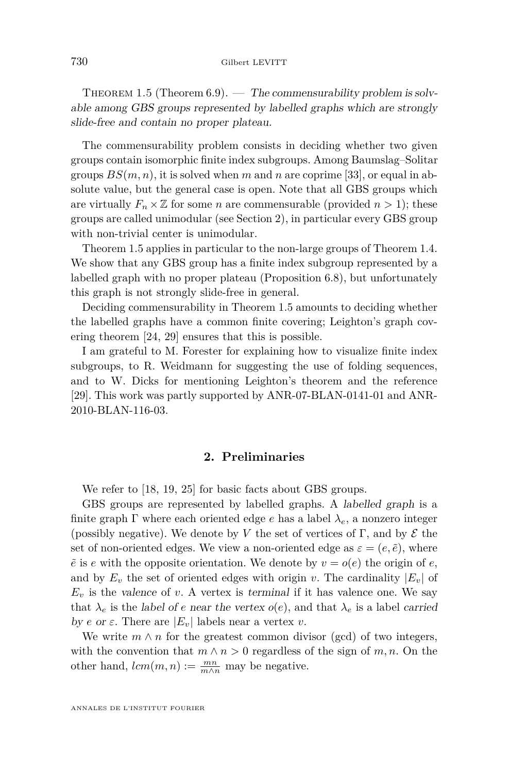<span id="page-6-0"></span>THEOREM 1.5 (Theorem [6.9\)](#page-35-0). — The commensurability problem is solvable among GBS groups represented by labelled graphs which are strongly slide-free and contain no proper plateau.

The commensurability problem consists in deciding whether two given groups contain isomorphic finite index subgroups. Among Baumslag–Solitar groups  $BS(m, n)$ , it is solved when m and n are coprime [\[33\]](#page-37-0), or equal in absolute value, but the general case is open. Note that all GBS groups which are virtually  $F_n \times \mathbb{Z}$  for some *n* are commensurable (provided  $n > 1$ ); these groups are called unimodular (see Section 2), in particular every GBS group with non-trivial center is unimodular.

Theorem 1.5 applies in particular to the non-large groups of Theorem [1.4.](#page-5-0) We show that any GBS group has a finite index subgroup represented by a labelled graph with no proper plateau (Proposition [6.8\)](#page-34-0), but unfortunately this graph is not strongly slide-free in general.

Deciding commensurability in Theorem 1.5 amounts to deciding whether the labelled graphs have a common finite covering; Leighton's graph covering theorem [\[24,](#page-37-0) [29\]](#page-37-0) ensures that this is possible.

I am grateful to M. Forester for explaining how to visualize finite index subgroups, to R. Weidmann for suggesting the use of folding sequences, and to W. Dicks for mentioning Leighton's theorem and the reference [\[29\]](#page-37-0). This work was partly supported by ANR-07-BLAN-0141-01 and ANR-2010-BLAN-116-03.

#### **2. Preliminaries**

We refer to [\[18,](#page-37-0) [19,](#page-37-0) [25\]](#page-37-0) for basic facts about GBS groups.

GBS groups are represented by labelled graphs. A labelled graph is a finite graph  $\Gamma$  where each oriented edge *e* has a label  $\lambda_e$ , a nonzero integer (possibly negative). We denote by *V* the set of vertices of  $\Gamma$ , and by  $\mathcal E$  the set of non-oriented edges. We view a non-oriented edge as  $\varepsilon = (e, \tilde{e})$ , where  $\tilde{e}$  is *e* with the opposite orientation. We denote by  $v = o(e)$  the origin of *e*, and by  $E_v$  the set of oriented edges with origin *v*. The cardinality  $|E_v|$  of  $E_v$  is the valence of *v*. A vertex is terminal if it has valence one. We say that  $\lambda_e$  is the label of *e* near the vertex  $o(e)$ , and that  $\lambda_e$  is a label carried by *e* or  $\varepsilon$ . There are  $|E_v|$  labels near a vertex *v*.

We write  $m \wedge n$  for the greatest common divisor (gcd) of two integers, with the convention that  $m \wedge n > 0$  regardless of the sign of  $m, n$ . On the other hand,  $lcm(m, n) := \frac{mn}{m \wedge n}$  may be negative.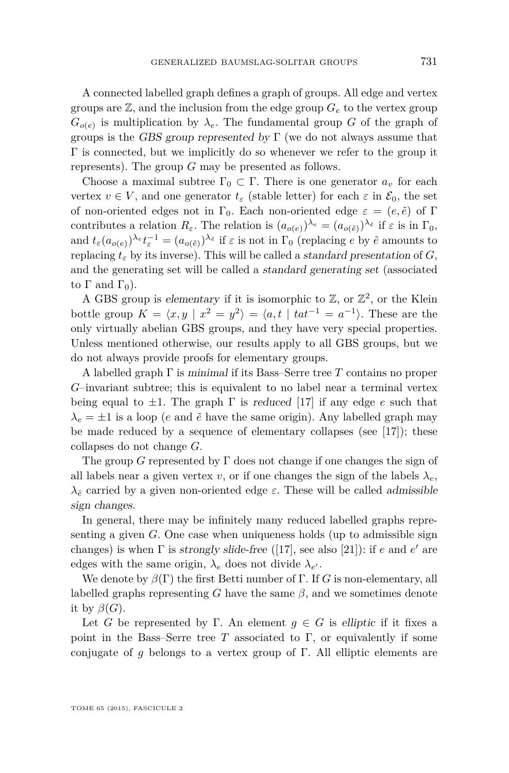A connected labelled graph defines a graph of groups. All edge and vertex groups are  $\mathbb{Z}$ , and the inclusion from the edge group  $G_e$  to the vertex group  $G_{o(e)}$  is multiplication by  $\lambda_e$ . The fundamental group *G* of the graph of groups is the GBS group represented by  $\Gamma$  (we do not always assume that  $\Gamma$  is connected, but we implicitly do so whenever we refer to the group it represents). The group *G* may be presented as follows.

Choose a maximal subtree  $\Gamma_0 \subset \Gamma$ . There is one generator  $a_v$  for each vertex  $v \in V$ , and one generator  $t_{\varepsilon}$  (stable letter) for each  $\varepsilon$  in  $\mathcal{E}_0$ , the set of non-oriented edges not in  $\Gamma_0$ . Each non-oriented edge  $\varepsilon = (e, \tilde{e})$  of  $\Gamma$ contributes a relation  $R_{\varepsilon}$ . The relation is  $(a_{o(e)})^{\lambda_e} = (a_{o(\tilde{e})})^{\lambda_{\tilde{e}}}$  if  $\varepsilon$  is in  $\Gamma_0$ , and  $t_{\varepsilon}(a_{o(e)})^{\lambda_e}t_{\varepsilon}^{-1} = (a_{o(\tilde{e})})^{\lambda_{\tilde{e}}}$  if  $\varepsilon$  is not in  $\Gamma_0$  (replacing  $e$  by  $\tilde{e}$  amounts to replacing  $t_{\varepsilon}$  by its inverse). This will be called a *standard presentation* of *G*, and the generating set will be called a standard generating set (associated to Γ and  $\Gamma_0$ ).

A GBS group is elementary if it is isomorphic to  $\mathbb{Z}$ , or  $\mathbb{Z}^2$ , or the Klein bottle group  $K = \langle x, y | x^2 = y^2 \rangle = \langle a, t | t a t^{-1} = a^{-1} \rangle$ . These are the only virtually abelian GBS groups, and they have very special properties. Unless mentioned otherwise, our results apply to all GBS groups, but we do not always provide proofs for elementary groups.

A labelled graph Γ is minimal if its Bass–Serre tree *T* contains no proper *G*–invariant subtree; this is equivalent to no label near a terminal vertex being equal to  $\pm 1$ . The graph  $\Gamma$  is reduced [\[17\]](#page-37-0) if any edge *e* such that  $\lambda_e = \pm 1$  is a loop (*e* and  $\tilde{e}$  have the same origin). Any labelled graph may be made reduced by a sequence of elementary collapses (see [\[17\]](#page-37-0)); these collapses do not change *G*.

The group *G* represented by Γ does not change if one changes the sign of all labels near a given vertex *v*, or if one changes the sign of the labels  $\lambda_e$ ,  $λ$ <sup> $\check{e}$ </sup> carried by a given non-oriented edge  $\varepsilon$ . These will be called admissible sign changes.

In general, there may be infinitely many reduced labelled graphs representing a given *G*. One case when uniqueness holds (up to admissible sign changes) is when  $\Gamma$  is *strongly slide-free* ([\[17\]](#page-37-0), see also [\[21\]](#page-37-0)): if  $e$  and  $e'$  are edges with the same origin,  $\lambda_e$  does not divide  $\lambda_{e'}$ .

We denote by  $\beta(\Gamma)$  the first Betti number of  $\Gamma$ . If *G* is non-elementary, all labelled graphs representing *G* have the same  $\beta$ , and we sometimes denote it by  $\beta(G)$ .

Let *G* be represented by Γ. An element  $g \in G$  is elliptic if it fixes a point in the Bass–Serre tree  $T$  associated to  $\Gamma$ , or equivalently if some conjugate of *g* belongs to a vertex group of Γ. All elliptic elements are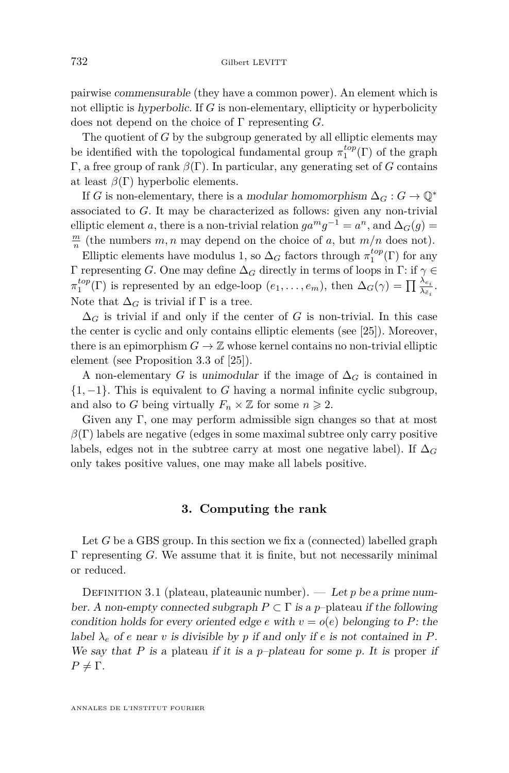<span id="page-8-0"></span>pairwise commensurable (they have a common power). An element which is not elliptic is hyperbolic. If *G* is non-elementary, ellipticity or hyperbolicity does not depend on the choice of Γ representing *G*.

The quotient of *G* by the subgroup generated by all elliptic elements may be identified with the topological fundamental group  $\pi_1^{top}(\Gamma)$  of the graph Γ, a free group of rank *β*(Γ). In particular, any generating set of *G* contains at least  $\beta(\Gamma)$  hyperbolic elements.

If *G* is non-elementary, there is a modular homomorphism  $\Delta_G : G \to \mathbb{Q}^*$ associated to *G*. It may be characterized as follows: given any non-trivial elliptic element *a*, there is a non-trivial relation  $ga^mg^{-1} = a^n$ , and  $\Delta_G(g) =$  $\frac{m}{n}$  (the numbers *m, n* may depend on the choice of *a*, but  $m/n$  does not).

Elliptic elements have modulus 1, so  $\Delta_G$  factors through  $\pi_1^{top}(\Gamma)$  for any Γ representing *G*. One may define ∆*<sup>G</sup>* directly in terms of loops in Γ: if *γ* ∈  $\pi_1^{top}(\Gamma)$  is represented by an edge-loop  $(e_1, \ldots, e_m)$ , then  $\Delta_G(\gamma) = \prod_{\lambda \in i} \frac{\lambda_{e_i}}{\lambda_{\tilde{e}_i}}$ . Note that  $\Delta_G$  is trivial if  $\Gamma$  is a tree.

 $\Delta_G$  is trivial if and only if the center of *G* is non-trivial. In this case the center is cyclic and only contains elliptic elements (see [\[25\]](#page-37-0)). Moreover, there is an epimorphism  $G \to \mathbb{Z}$  whose kernel contains no non-trivial elliptic element (see Proposition 3.3 of [\[25\]](#page-37-0)).

A non-elementary *G* is unimodular if the image of  $\Delta_G$  is contained in {1*,* −1}. This is equivalent to *G* having a normal infinite cyclic subgroup, and also to *G* being virtually  $F_n \times \mathbb{Z}$  for some  $n \geq 2$ .

Given any Γ, one may perform admissible sign changes so that at most  $\beta(\Gamma)$  labels are negative (edges in some maximal subtree only carry positive labels, edges not in the subtree carry at most one negative label). If  $\Delta_G$ only takes positive values, one may make all labels positive.

#### **3. Computing the rank**

Let *G* be a GBS group. In this section we fix a (connected) labelled graph Γ representing *G*. We assume that it is finite, but not necessarily minimal or reduced.

DEFINITION 3.1 (plateau, plateaunic number). — Let *p* be a prime number. A non-empty connected subgraph  $P \subset \Gamma$  is a *p*-plateau if the following condition holds for every oriented edge *e* with  $v = o(e)$  belonging to *P*: the label  $\lambda_e$  of *e* near *v* is divisible by *p* if and only if *e* is not contained in *P*. We say that *P* is a plateau if it is a *p*–plateau for some *p*. It is proper if  $P \neq \Gamma$ .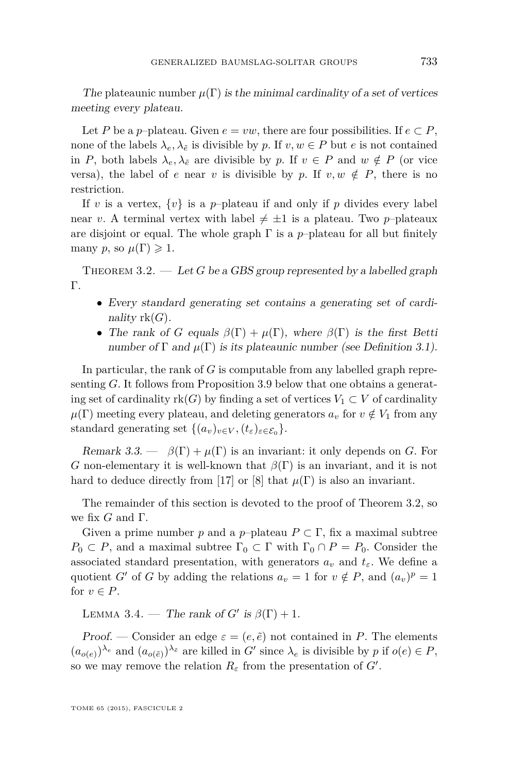<span id="page-9-0"></span>The plateaunic number  $\mu(\Gamma)$  is the minimal cardinality of a set of vertices meeting every plateau.

Let *P* be a *p*–plateau. Given  $e = vw$ , there are four possibilities. If  $e \subset P$ , none of the labels  $\lambda_e, \lambda_{\tilde{e}}$  is divisible by *p*. If  $v, w \in P$  but *e* is not contained in *P*, both labels  $\lambda_e, \lambda_{\tilde{e}}$  are divisible by *p*. If  $v \in P$  and  $w \notin P$  (or vice versa), the label of *e* near *v* is divisible by *p*. If  $v, w \notin P$ , there is no restriction.

If *v* is a vertex,  $\{v\}$  is a *p*-plateau if and only if *p* divides every label near *v*. A terminal vertex with label  $\neq \pm 1$  is a plateau. Two *p*–plateaux are disjoint or equal. The whole graph  $\Gamma$  is a *p*–plateau for all but finitely many *p*, so  $\mu(\Gamma) \geq 1$ .

THEOREM  $3.2.$  — Let *G* be a GBS group represented by a labelled graph Γ.

- Every standard generating set contains a generating set of cardinality  $rk(G)$ .
- The rank of *G* equals  $\beta(\Gamma) + \mu(\Gamma)$ , where  $\beta(\Gamma)$  is the first Betti number of  $\Gamma$  and  $\mu(\Gamma)$  is its plateaunic number (see Definition [3.1\)](#page-8-0).

In particular, the rank of *G* is computable from any labelled graph representing *G*. It follows from Proposition [3.9](#page-11-0) below that one obtains a generating set of cardinality  $rk(G)$  by finding a set of vertices  $V_1 \subset V$  of cardinality  $\mu(\Gamma)$  meeting every plateau, and deleting generators  $a_v$  for  $v \notin V_1$  from any standard generating set  $\{(a_v)_{v \in V}, (t_\varepsilon)_{\varepsilon \in \mathcal{E}_0}\}.$ 

Remark 3.3.  $\beta(\Gamma) + \mu(\Gamma)$  is an invariant: it only depends on *G*. For *G* non-elementary it is well-known that *β*(Γ) is an invariant, and it is not hard to deduce directly from [\[17\]](#page-37-0) or [\[8\]](#page-36-0) that  $\mu(\Gamma)$  is also an invariant.

The remainder of this section is devoted to the proof of Theorem 3.2, so we fix *G* and Γ.

Given a prime number *p* and a *p*–plateau  $P \subset \Gamma$ , fix a maximal subtree  $P_0 \subset P$ , and a maximal subtree  $\Gamma_0 \subset \Gamma$  with  $\Gamma_0 \cap P = P_0$ . Consider the associated standard presentation, with generators  $a_v$  and  $t_{\varepsilon}$ . We define a quotient *G'* of *G* by adding the relations  $a_v = 1$  for  $v \notin P$ , and  $(a_v)^p = 1$ for  $v \in P$ .

LEMMA 3.4. — The rank of  $G'$  is  $\beta(\Gamma) + 1$ .

Proof. — Consider an edge  $\varepsilon = (e, \tilde{e})$  not contained in *P*. The elements  $(a_{o(e)})^{\lambda_e}$  and  $(a_{o(\tilde{e})})^{\lambda_{\tilde{e}}}$  are killed in *G'* since  $\lambda_e$  is divisible by *p* if  $o(e) \in P$ , so we may remove the relation  $R_{\varepsilon}$  from the presentation of  $G'$ .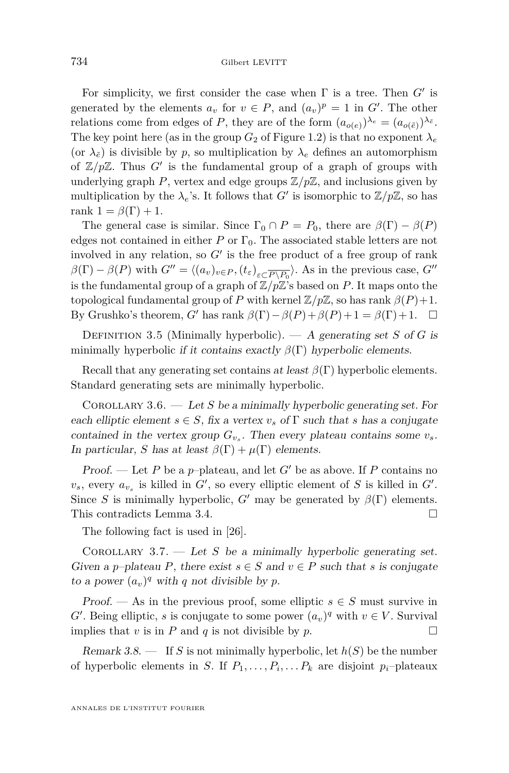<span id="page-10-0"></span>For simplicity, we first consider the case when  $\Gamma$  is a tree. Then  $G'$  is generated by the elements  $a_v$  for  $v \in P$ , and  $(a_v)^p = 1$  in G'. The other relations come from edges of *P*, they are of the form  $(a_{o(e)})^{\lambda_e} = (a_{o(\tilde{e})})^{\lambda_{\tilde{e}}}.$ The key point here (as in the group  $G_2$  of Figure [1.2\)](#page-3-0) is that no exponent  $\lambda_e$ (or  $\lambda_{\tilde{e}}$ ) is divisible by *p*, so multiplication by  $\lambda_e$  defines an automorphism of  $\mathbb{Z}/p\mathbb{Z}$ . Thus  $G'$  is the fundamental group of a graph of groups with underlying graph  $P$ , vertex and edge groups  $\mathbb{Z}/p\mathbb{Z}$ , and inclusions given by multiplication by the  $\lambda_e$ 's. It follows that *G*<sup> $\prime$ </sup> is isomorphic to  $\mathbb{Z}/p\mathbb{Z}$ , so has rank  $1 = \beta(\Gamma) + 1$ .

The general case is similar. Since  $\Gamma_0 \cap P = P_0$ , there are  $\beta(\Gamma) - \beta(P)$ edges not contained in either *P* or  $\Gamma_0$ . The associated stable letters are not involved in any relation, so  $G'$  is the free product of a free group of rank  $\beta(\Gamma) - \beta(P)$  with  $G'' = \langle (a_v)_{v \in P}, (t_\varepsilon)_{\varepsilon \subset \overline{P \setminus P_0}} \rangle$ . As in the previous case,  $G''$ is the fundamental group of a graph of  $\mathbb{Z}/p\mathbb{Z}$ 's based on *P*. It maps onto the topological fundamental group of *P* with kernel  $\mathbb{Z}/p\mathbb{Z}$ , so has rank  $\beta(P)+1$ . By Grushko's theorem, *G*<sup> $\prime$ </sup> has rank  $\beta(\Gamma) - \beta(P) + \beta(P) + 1 = \beta(\Gamma) + 1$ .  $\Box$ 

DEFINITION 3.5 (Minimally hyperbolic). — A generating set *S* of *G* is minimally hyperbolic if it contains exactly  $\beta(\Gamma)$  hyperbolic elements.

Recall that any generating set contains at least  $\beta(\Gamma)$  hyperbolic elements. Standard generating sets are minimally hyperbolic.

Corollary 3.6. — Let *S* be a minimally hyperbolic generating set. For each elliptic element  $s \in S$ , fix a vertex  $v_s$  of  $\Gamma$  such that *s* has a conjugate contained in the vertex group  $G_{v_s}$ . Then every plateau contains some  $v_s$ . In particular, *S* has at least  $\beta(\Gamma) + \mu(\Gamma)$  elements.

Proof. — Let P be a *p*-plateau, and let  $G'$  be as above. If P contains no  $v_s$ , every  $a_{v_s}$  is killed in  $G'$ , so every elliptic element of *S* is killed in  $G'$ . Since *S* is minimally hyperbolic, *G*<sup> $\prime$ </sup> may be generated by  $\beta(\Gamma)$  elements. This contradicts Lemma [3.4.](#page-9-0)

The following fact is used in [\[26\]](#page-37-0).

COROLLARY 3.7.  $\qquad$  Let *S* be a minimally hyperbolic generating set. Given a *p*–plateau *P*, there exist  $s \in S$  and  $v \in P$  such that *s* is conjugate to a power  $(a_v)^q$  with *q* not divisible by *p*.

Proof. — As in the previous proof, some elliptic  $s \in S$  must survive in *G*<sup> $\prime$ </sup>. Being elliptic, *s* is conjugate to some power  $(a_v)^q$  with  $v \in V$ . Survival implies that *v* is in *P* and *q* is not divisible by *p*.

Remark 3.8.  $\qquad$  If *S* is not minimally hyperbolic, let  $h(S)$  be the number of hyperbolic elements in *S*. If  $P_1, \ldots, P_i, \ldots, P_k$  are disjoint  $p_i$ -plateaux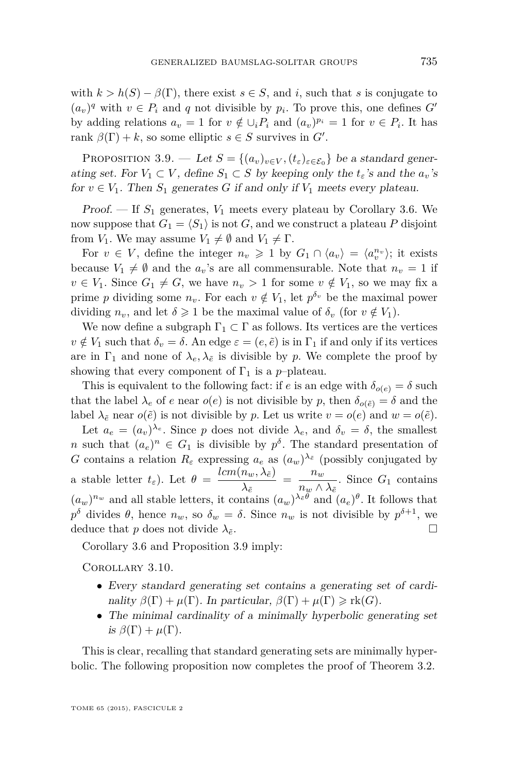<span id="page-11-0"></span>with  $k > h(S) - \beta(\Gamma)$ , there exist  $s \in S$ , and *i*, such that *s* is conjugate to  $(a_v)^q$  with  $v \in P_i$  and  $q$  not divisible by  $p_i$ . To prove this, one defines  $G'$ by adding relations  $a_v = 1$  for  $v \notin \bigcup_i P_i$  and  $(a_v)^{p_i} = 1$  for  $v \in P_i$ . It has rank  $\beta(\Gamma) + k$ , so some elliptic  $s \in S$  survives in  $G'$ .

PROPOSITION 3.9. — Let  $S = \{(a_v)_{v \in V}, (t_\varepsilon)_{\varepsilon \in \mathcal{E}_0}\}$  be a standard generating set. For  $V_1 \subset V$ , define  $S_1 \subset S$  by keeping only the  $t_{\varepsilon}$ 's and the  $a_v$ 's for  $v \in V_1$ . Then  $S_1$  generates  $G$  if and only if  $V_1$  meets every plateau.

Proof.  $\mathcal{F}$  If  $S_1$  generates,  $V_1$  meets every plateau by Corollary [3.6.](#page-10-0) We now suppose that  $G_1 = \langle S_1 \rangle$  is not *G*, and we construct a plateau *P* disjoint from *V*<sub>1</sub>. We may assume  $V_1 \neq \emptyset$  and  $V_1 \neq \Gamma$ .

For  $v \in V$ , define the integer  $n_v \geq 1$  by  $G_1 \cap \langle a_v \rangle = \langle a_v^{n_v} \rangle$ ; it exists because  $V_1 \neq \emptyset$  and the  $a_v$ 's are all commensurable. Note that  $n_v = 1$  if  $v \in V_1$ . Since  $G_1 \neq G$ , we have  $n_v > 1$  for some  $v \notin V_1$ , so we may fix a prime *p* dividing some  $n_v$ . For each  $v \notin V_1$ , let  $p^{\delta_v}$  be the maximal power dividing  $n_v$ , and let  $\delta \geq 1$  be the maximal value of  $\delta_v$  (for  $v \notin V_1$ ).

We now define a subgraph  $\Gamma_1 \subset \Gamma$  as follows. Its vertices are the vertices  $v \notin V_1$  such that  $\delta_v = \delta$ . An edge  $\varepsilon = (e, \tilde{e})$  is in  $\Gamma_1$  if and only if its vertices are in  $\Gamma_1$  and none of  $\lambda_e, \lambda_{\tilde{e}}$  is divisible by *p*. We complete the proof by showing that every component of  $\Gamma_1$  is a *p*–plateau.

This is equivalent to the following fact: if *e* is an edge with  $\delta_{o(e)} = \delta$  such that the label  $\lambda_e$  of *e* near  $o(e)$  is not divisible by *p*, then  $\delta_{o(\tilde{e})} = \delta$  and the label  $\lambda_{\tilde{e}}$  near  $o(\tilde{e})$  is not divisible by *p*. Let us write  $v = o(e)$  and  $w = o(\tilde{e})$ .

Let  $a_e = (a_v)^{\lambda_e}$ . Since *p* does not divide  $\lambda_e$ , and  $\delta_v = \delta$ , the smallest *n* such that  $(a_e)^n \in G_1$  is divisible by  $p^{\delta}$ . The standard presentation of *G* contains a relation  $R_{\varepsilon}$  expressing  $a_e$  as  $(a_w)^{\lambda_{\varepsilon}}$  (possibly conjugated by a stable letter  $t_{\varepsilon}$ ). Let  $\theta = \frac{lcm(n_w, \lambda_{\varepsilon})}{l}$  $\frac{n_w, \lambda_{\tilde{e}}}{\lambda_{\tilde{e}}} \ = \ \frac{n_w}{n_w \wedge \lambda}$  $\frac{m_w}{n_w \wedge \lambda_{\tilde{e}}}$ . Since *G*<sub>1</sub> contains  $(a_w)^{n_w}$  and all stable letters, it contains  $(a_w)^{\lambda_{\varepsilon}\theta}$  and  $(a_e)^{\theta}$ . It follows that *p*<sup>δ</sup> divides *θ*, hence *n<sub>w</sub>*, so  $δ$ <sup>*w*</sup> = δ. Since *n<sub>w</sub>* is not divisible by  $p$ <sup>δ+1</sup>, we deduce that *p* does not divide  $\lambda_{\tilde{e}}$ .

Corollary [3.6](#page-10-0) and Proposition 3.9 imply:

Corollary 3.10.

- Every standard generating set contains a generating set of cardinality  $\beta(\Gamma) + \mu(\Gamma)$ . In particular,  $\beta(\Gamma) + \mu(\Gamma) \geqslant \text{rk}(G)$ .
- The minimal cardinality of a minimally hyperbolic generating set is  $\beta(\Gamma) + \mu(\Gamma)$ .

This is clear, recalling that standard generating sets are minimally hyperbolic. The following proposition now completes the proof of Theorem [3.2.](#page-9-0)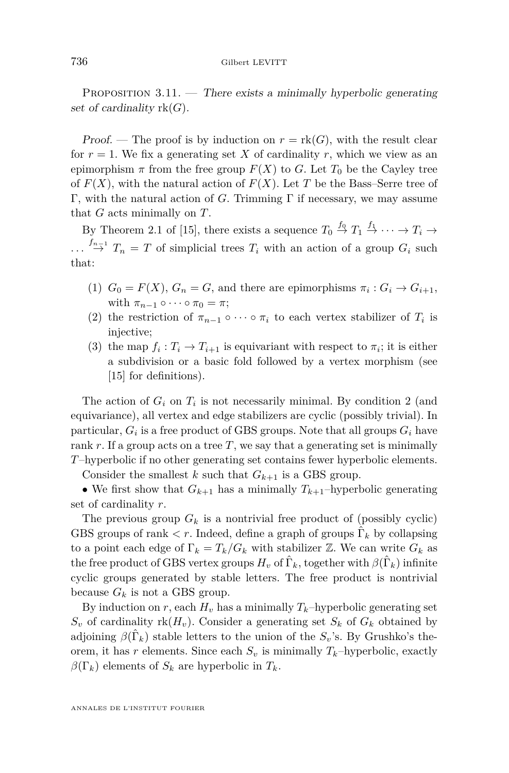PROPOSITION  $3.11$ . — There exists a minimally hyperbolic generating set of cardinality rk(*G*).

Proof. — The proof is by induction on  $r = \text{rk}(G)$ , with the result clear for  $r = 1$ . We fix a generating set X of cardinality r, which we view as an epimorphism  $\pi$  from the free group  $F(X)$  to *G*. Let  $T_0$  be the Cayley tree of  $F(X)$ , with the natural action of  $F(X)$ . Let T be the Bass–Serre tree of Γ, with the natural action of *G*. Trimming Γ if necessary, we may assume that *G* acts minimally on *T*.

By Theorem 2.1 of [\[15\]](#page-37-0), there exists a sequence  $T_0 \stackrel{f_0}{\rightarrow} T_1 \stackrel{f_1}{\rightarrow} \cdots \rightarrow T_i \rightarrow$ *...*  $f_{n-1}$ <sup>*n*</sup> *T*<sub>*n*</sub> = *T* of simplicial trees *T<sub>i</sub>* with an action of a group *G<sub>i</sub>* such that:

- (1)  $G_0 = F(X)$ ,  $G_n = G$ , and there are epimorphisms  $\pi_i : G_i \to G_{i+1}$ , with  $\pi_{n-1} \circ \cdots \circ \pi_0 = \pi$ ;
- (2) the restriction of  $\pi_{n-1} \circ \cdots \circ \pi_i$  to each vertex stabilizer of  $T_i$  is injective;
- (3) the map  $f_i: T_i \to T_{i+1}$  is equivariant with respect to  $\pi_i$ ; it is either a subdivision or a basic fold followed by a vertex morphism (see [\[15\]](#page-37-0) for definitions).

The action of  $G_i$  on  $T_i$  is not necessarily minimal. By condition 2 (and equivariance), all vertex and edge stabilizers are cyclic (possibly trivial). In particular,  $G_i$  is a free product of GBS groups. Note that all groups  $G_i$  have rank *r*. If a group acts on a tree *T*, we say that a generating set is minimally *T*–hyperbolic if no other generating set contains fewer hyperbolic elements.

Consider the smallest *k* such that  $G_{k+1}$  is a GBS group.

• We first show that  $G_{k+1}$  has a minimally  $T_{k+1}$ -hyperbolic generating set of cardinality *r*.

The previous group  $G_k$  is a nontrivial free product of (possibly cyclic) GBS groups of rank  $\lt r$ . Indeed, define a graph of groups  $\hat{\Gamma}_k$  by collapsing to a point each edge of  $\Gamma_k = T_k/G_k$  with stabilizer  $\mathbb{Z}$ . We can write  $G_k$  as the free product of GBS vertex groups  $H_v$  of  $\hat{\Gamma}_k$ , together with  $\beta(\hat{\Gamma}_k)$  infinite cyclic groups generated by stable letters. The free product is nontrivial because  $G_k$  is not a GBS group.

By induction on *r*, each  $H_v$  has a minimally  $T_k$ –hyperbolic generating set  $S_v$  of cardinality rk $(H_v)$ . Consider a generating set  $S_k$  of  $G_k$  obtained by adjoining  $\beta(\hat{\Gamma}_k)$  stable letters to the union of the  $S_v$ 's. By Grushko's theorem, it has *r* elements. Since each  $S_v$  is minimally  $T_k$ –hyperbolic, exactly  $\beta(\Gamma_k)$  elements of  $S_k$  are hyperbolic in  $T_k$ .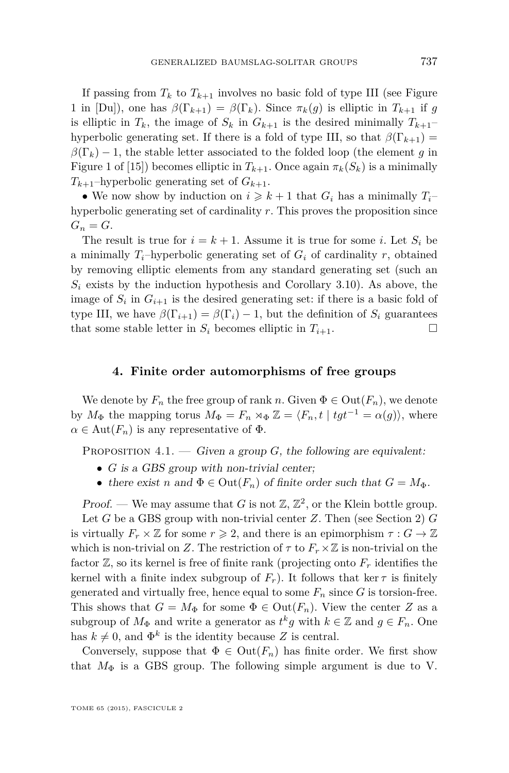<span id="page-13-0"></span>If passing from  $T_k$  to  $T_{k+1}$  involves no basic fold of type III (see Figure 1 in [Du]), one has  $\beta(\Gamma_{k+1}) = \beta(\Gamma_k)$ . Since  $\pi_k(g)$  is elliptic in  $T_{k+1}$  if g is elliptic in  $T_k$ , the image of  $S_k$  in  $G_{k+1}$  is the desired minimally  $T_{k+1}$ – hyperbolic generating set. If there is a fold of type III, so that  $\beta(\Gamma_{k+1}) =$  $\beta(\Gamma_k) - 1$ , the stable letter associated to the folded loop (the element *g* in Figure 1 of [\[15\]](#page-37-0)) becomes elliptic in  $T_{k+1}$ . Once again  $\pi_k(S_k)$  is a minimally  $T_{k+1}$ –hyperbolic generating set of  $G_{k+1}$ .

• We now show by induction on  $i \geq k+1$  that  $G_i$  has a minimally  $T_i$ hyperbolic generating set of cardinality *r*. This proves the proposition since  $G_n = G$ .

The result is true for  $i = k + 1$ . Assume it is true for some *i*. Let  $S_i$  be a minimally  $T_i$ -hyperbolic generating set of  $G_i$  of cardinality  $r$ , obtained by removing elliptic elements from any standard generating set (such an  $S_i$  exists by the induction hypothesis and Corollary [3.10\)](#page-11-0). As above, the image of  $S_i$  in  $G_{i+1}$  is the desired generating set: if there is a basic fold of type III, we have  $\beta(\Gamma_{i+1}) = \beta(\Gamma_i) - 1$ , but the definition of  $S_i$  guarantees that some stable letter in  $S_i$  becomes elliptic in  $T_{i+1}$ .

#### **4. Finite order automorphisms of free groups**

We denote by  $F_n$  the free group of rank *n*. Given  $\Phi \in \text{Out}(F_n)$ , we denote by  $M_{\Phi}$  the mapping torus  $M_{\Phi} = F_n \rtimes_{\Phi} \mathbb{Z} = \langle F_n, t \mid tgt^{-1} = \alpha(g) \rangle$ , where  $\alpha \in \text{Aut}(F_n)$  is any representative of  $\Phi$ .

PROPOSITION  $4.1.$  — Given a group G, the following are equivalent:

- *G* is a GBS group with non-trivial center;
- there exist *n* and  $\Phi \in \text{Out}(F_n)$  of finite order such that  $G = M_{\Phi}$ .

Proof. — We may assume that *G* is not  $\mathbb{Z}, \mathbb{Z}^2$ , or the Klein bottle group.

Let *G* be a GBS group with non-trivial center *Z*. Then (see Section [2\)](#page-6-0) *G* is virtually  $F_r \times \mathbb{Z}$  for some  $r \geq 2$ , and there is an epimorphism  $\tau : G \to \mathbb{Z}$ which is non-trivial on *Z*. The restriction of  $\tau$  to  $F_r \times \mathbb{Z}$  is non-trivial on the factor  $\mathbb{Z}$ , so its kernel is free of finite rank (projecting onto  $F_r$  identifies the kernel with a finite index subgroup of  $F_r$ ). It follows that ker  $\tau$  is finitely generated and virtually free, hence equal to some  $F_n$  since  $G$  is torsion-free. This shows that  $G = M_{\Phi}$  for some  $\Phi \in \text{Out}(F_n)$ . View the center *Z* as a subgroup of  $M_{\Phi}$  and write a generator as  $t^k g$  with  $k \in \mathbb{Z}$  and  $g \in F_n$ . One has  $k \neq 0$ , and  $\Phi^k$  is the identity because *Z* is central.

Conversely, suppose that  $\Phi \in \text{Out}(F_n)$  has finite order. We first show that  $M_{\Phi}$  is a GBS group. The following simple argument is due to V.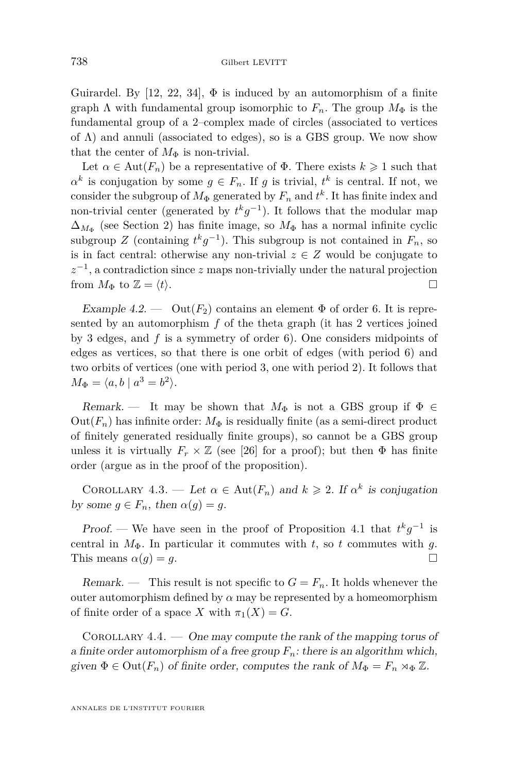<span id="page-14-0"></span>Guirardel. By [\[12,](#page-36-0) [22,](#page-37-0) [34\]](#page-37-0),  $\Phi$  is induced by an automorphism of a finite graph  $\Lambda$  with fundamental group isomorphic to  $F_n$ . The group  $M_{\Phi}$  is the fundamental group of a 2–complex made of circles (associated to vertices of  $\Lambda$ ) and annuli (associated to edges), so is a GBS group. We now show that the center of  $M_{\Phi}$  is non-trivial.

Let  $\alpha \in \text{Aut}(F_n)$  be a representative of  $\Phi$ . There exists  $k \geq 1$  such that  $\alpha^k$  is conjugation by some  $g \in F_n$ . If *g* is trivial,  $t^k$  is central. If not, we consider the subgroup of  $M_{\Phi}$  generated by  $F_n$  and  $t^k$ . It has finite index and non-trivial center (generated by  $t^k g^{-1}$ ). It follows that the modular map  $\Delta_{M_{\Phi}}$  (see Section [2\)](#page-6-0) has finite image, so  $M_{\Phi}$  has a normal infinite cyclic subgroup *Z* (containing  $t^k g^{-1}$ ). This subgroup is not contained in  $F_n$ , so is in fact central: otherwise any non-trivial  $z \in Z$  would be conjugate to  $z^{-1}$ , a contradiction since  $z$  maps non-trivially under the natural projection from  $M_{\Phi}$  to  $\mathbb{Z} = \langle t \rangle$ .

Example 4.2. —  $\text{Out}(F_2)$  contains an element  $\Phi$  of order 6. It is represented by an automorphism *f* of the theta graph (it has 2 vertices joined by 3 edges, and *f* is a symmetry of order 6). One considers midpoints of edges as vertices, so that there is one orbit of edges (with period 6) and two orbits of vertices (one with period 3, one with period 2). It follows that  $M_{\Phi} = \langle a, b \mid a^3 = b^2 \rangle.$ 

Remark. — It may be shown that  $M_{\Phi}$  is not a GBS group if  $\Phi \in$ Out( $F_n$ ) has infinite order:  $M_{\Phi}$  is residually finite (as a semi-direct product of finitely generated residually finite groups), so cannot be a GBS group unless it is virtually  $F_r \times \mathbb{Z}$  (see [\[26\]](#page-37-0) for a proof); but then  $\Phi$  has finite order (argue as in the proof of the proposition).

COROLLARY 4.3. — Let  $\alpha \in \text{Aut}(F_n)$  and  $k \geq 2$ . If  $\alpha^k$  is conjugation by some  $g \in F_n$ , then  $\alpha(g) = g$ .

*Proof.* — We have seen in the proof of Proposition [4.1](#page-13-0) that  $t^k g^{-1}$  is central in  $M_{\Phi}$ . In particular it commutes with *t*, so *t* commutes with *g*. This means  $\alpha(q) = q$ .

Remark. — This result is not specific to  $G = F_n$ . It holds whenever the outer automorphism defined by  $\alpha$  may be represented by a homeomorphism of finite order of a space *X* with  $\pi_1(X) = G$ .

COROLLARY  $4.4.$  — One may compute the rank of the mapping torus of a finite order automorphism of a free group  $F_n$ : there is an algorithm which, given  $\Phi \in \text{Out}(F_n)$  of finite order, computes the rank of  $M_{\Phi} = F_n \rtimes_{\Phi} \mathbb{Z}$ .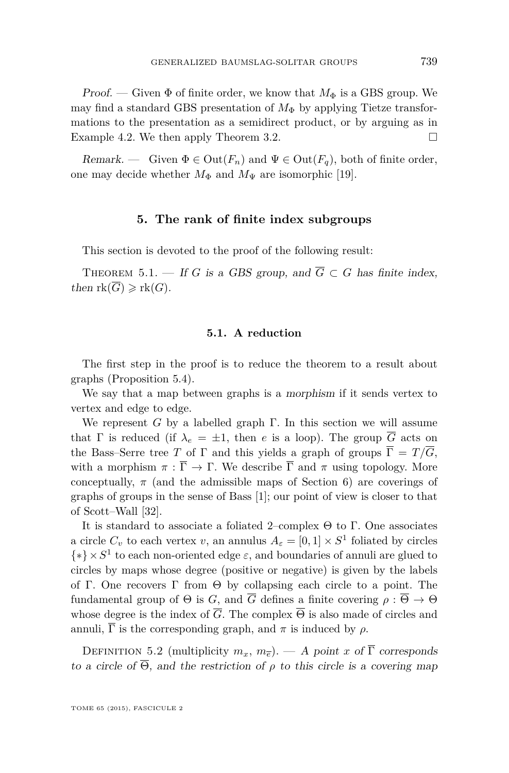<span id="page-15-0"></span>Proof. — Given  $\Phi$  of finite order, we know that  $M_{\Phi}$  is a GBS group. We may find a standard GBS presentation of  $M_{\Phi}$  by applying Tietze transformations to the presentation as a semidirect product, or by arguing as in Example [4.2.](#page-14-0) We then apply Theorem [3.2.](#page-9-0)

Remark. — Given  $\Phi \in \text{Out}(F_n)$  and  $\Psi \in \text{Out}(F_q)$ , both of finite order, one may decide whether  $M_{\Phi}$  and  $M_{\Psi}$  are isomorphic [\[19\]](#page-37-0).

#### **5. The rank of finite index subgroups**

This section is devoted to the proof of the following result:

THEOREM 5.1. — If *G* is a GBS group, and  $\overline{G} \subset G$  has finite index, then  $rk(\overline{G}) \geqslant rk(G)$ .

#### **5.1. A reduction**

The first step in the proof is to reduce the theorem to a result about graphs (Proposition [5.4\)](#page-17-0).

We say that a map between graphs is a morphism if it sends vertex to vertex and edge to edge.

We represent *G* by a labelled graph  $\Gamma$ . In this section we will assume that  $\Gamma$  is reduced (if  $\lambda_e = \pm 1$ , then *e* is a loop). The group  $\overline{G}$  acts on the Bass–Serre tree *T* of Γ and this yields a graph of groups  $\overline{\Gamma} = T/\overline{G}$ , with a morphism  $\pi : \overline{\Gamma} \to \Gamma$ . We describe  $\overline{\Gamma}$  and  $\pi$  using topology. More conceptually,  $\pi$  (and the admissible maps of Section [6\)](#page-30-0) are coverings of graphs of groups in the sense of Bass [\[1\]](#page-36-0); our point of view is closer to that of Scott–Wall [\[32\]](#page-37-0).

It is standard to associate a foliated 2–complex Θ to Γ. One associates a circle  $C_v$  to each vertex  $v$ , an annulus  $A_\varepsilon = [0,1] \times S^1$  foliated by circles  $\{*\}\times S^1$  to each non-oriented edge  $\varepsilon$ , and boundaries of annuli are glued to circles by maps whose degree (positive or negative) is given by the labels of Γ. One recovers Γ from  $\Theta$  by collapsing each circle to a point. The fundamental group of  $\Theta$  is *G*, and  $\overline{G}$  defines a finite covering  $\rho : \overline{\Theta} \to \Theta$ whose degree is the index of  $\overline{G}$ . The complex  $\overline{\Theta}$  is also made of circles and annuli,  $\overline{\Gamma}$  is the corresponding graph, and  $\pi$  is induced by  $\rho$ .

DEFINITION 5.2 (multiplicity  $m_x$ ,  $m_{\overline{e}}$ ). — A point *x* of  $\overline{\Gamma}$  corresponds to a circle of  $\overline{\Theta}$ , and the restriction of  $\rho$  to this circle is a covering map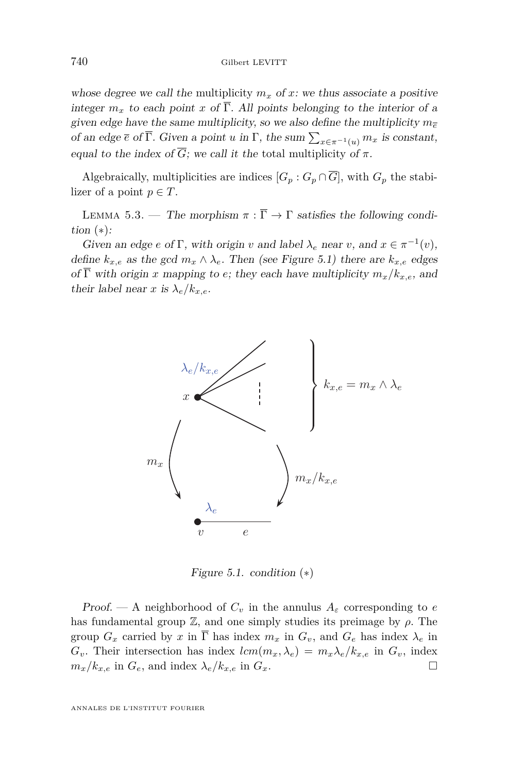<span id="page-16-0"></span>whose degree we call the multiplicity  $m_x$  of x: we thus associate a positive integer  $m_x$  to each point *x* of  $\overline{\Gamma}$ . All points belonging to the interior of a given edge have the same multiplicity, so we also define the multiplicity  $m_{\overline{e}}$ of an edge  $\overline{e}$  of  $\Gamma$ . Given a point *u* in  $\Gamma$ , the sum  $\sum_{x \in \pi^{-1}(u)} m_x$  is constant, equal to the index of  $\overline{G}$ ; we call it the total multiplicity of  $\pi$ . to the interior of a given edge have the same multiplicity, so we also define the multiplicity, so we also define the multiplicity, so we also define the multiplicity, so we also define the multiplicity, so we also define

Algebraically, multiplicities are indices  $[G_p : G_p \cap \overline{G}]$ , with  $G_p$  the stabi-<br>ligar of a point  $p \in T$ lizer of a point  $p \in T$ .

LEMMA 5.3. — The morphism  $\pi : \overline{\Gamma} \to \Gamma$  satisfies the following condition  $(*)$ :  $\lim_{n \to \infty}$  are independent  $\pi$ . The stabilizer of a point General point

Given an edge *e* of  $\Gamma$ , with origin *v* and label  $\lambda_e$  near *v*, and  $x \in \pi^{-1}(v)$ , define  $k_{x,e}$  as the gcd  $m_x \wedge \lambda_e$ . Then (see Figure 5.1) there are  $k_{x,e}$  edges  $\sigma \overline{\Gamma}$  with origin  $x$  morphism to  $\sigma$ ; they goed hove pultiplicity  $m/k$ . of Γ with origin *x* mapping to *e*; they each have multiplicity  $m_x/k_{x,e}$ , and their label near *x* is  $\lambda/k$ their label near *x* is  $\lambda_e/k_{x,e}$ .



Figure 5.1. condition  $(*)$ 

*Proof.* — A neighborhood of  $C_v$  in the annulus  $A_\varepsilon$  corresponding to *e* has fundamental group  $\mathbb{Z}$ , and one simply studies its preimage by  $\rho$ . The group  $G_x$  carried by *x* in  $\overline{\Gamma}$  has index  $m_x$  in  $G_v$ , and  $G_e$  has index  $\lambda_e$  in  $G_v$ . Their intersection has index  $lcm(m_x, \lambda_e) = m_x\lambda_e/k_{x,e}$  in  $G_v$ , index  $m / k$  in  $C$  and index  $\lambda / k$  in  $C$  $m_x/k_{x,e}$  in  $G_e$ , and index  $\lambda_e/k_{x,e}$  in  $G_x$ .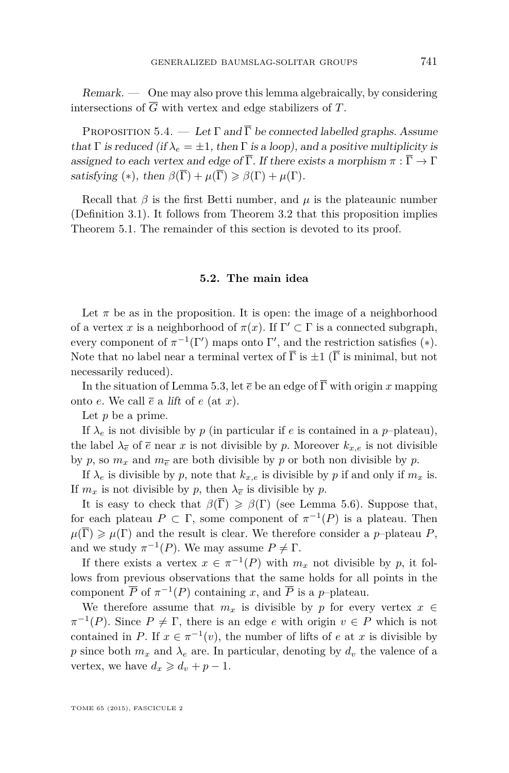<span id="page-17-0"></span> $Remark. \quad$  One may also prove this lemma algebraically, by considering intersections of  $\overline{G}$  with vertex and edge stabilizers of  $T$ .

PROPOSITION 5.4. — Let  $\Gamma$  and  $\overline{\Gamma}$  be connected labelled graphs. Assume that  $\Gamma$  is reduced (if  $\lambda_e = \pm 1$ , then  $\Gamma$  is a loop), and a positive multiplicity is assigned to each vertex and edge of  $\overline{\Gamma}$ . If there exists a morphism  $\pi : \overline{\Gamma} \to \Gamma$ satisfying (\*), then  $\beta(\overline{\Gamma}) + \mu(\overline{\Gamma}) \geq \beta(\Gamma) + \mu(\Gamma)$ .

Recall that  $\beta$  is the first Betti number, and  $\mu$  is the plateaunic number (Definition [3.1\)](#page-8-0). It follows from Theorem [3.2](#page-9-0) that this proposition implies Theorem [5.1.](#page-15-0) The remainder of this section is devoted to its proof.

#### **5.2. The main idea**

Let  $\pi$  be as in the proposition. It is open: the image of a neighborhood of a vertex *x* is a neighborhood of  $\pi(x)$ . If  $\Gamma' \subset \Gamma$  is a connected subgraph, every component of  $\pi^{-1}(\Gamma')$  maps onto  $\Gamma'$ , and the restriction satisfies (\*). Note that no label near a terminal vertex of  $\overline{\Gamma}$  is  $\pm 1$  ( $\overline{\Gamma}$  is minimal, but not necessarily reduced).

In the situation of Lemma [5.3,](#page-16-0) let  $\bar{e}$  be an edge of  $\bar{\Gamma}$  with origin *x* mapping onto *e*. We call  $\overline{e}$  a lift of *e* (at *x*).

Let *p* be a prime.

If  $\lambda_e$  is not divisible by *p* (in particular if *e* is contained in a *p*-plateau), the label  $\lambda_{\bar{e}}$  of  $\bar{e}$  near *x* is not divisible by *p*. Moreover  $k_{x,e}$  is not divisible by *p*, so  $m_x$  and  $m_{\overline{e}}$  are both divisible by *p* or both non divisible by *p*.

If  $\lambda_e$  is divisible by *p*, note that  $k_{x,e}$  is divisible by *p* if and only if  $m_x$  is. If  $m_x$  is not divisible by *p*, then  $\lambda_{\overline{e}}$  is divisible by *p*.

It is easy to check that  $\beta(\overline{\Gamma}) \geq \beta(\Gamma)$  (see Lemma [5.6\)](#page-19-0). Suppose that, for each plateau  $P \subset \Gamma$ , some component of  $\pi^{-1}(P)$  is a plateau. Then  $\mu(\overline{\Gamma}) \geq \mu(\Gamma)$  and the result is clear. We therefore consider a *p*–plateau *P*, and we study  $\pi^{-1}(P)$ . We may assume  $P \neq \Gamma$ .

If there exists a vertex  $x \in \pi^{-1}(P)$  with  $m_x$  not divisible by p, it follows from previous observations that the same holds for all points in the component  $\overline{P}$  of  $\pi^{-1}(P)$  containing *x*, and  $\overline{P}$  is a *p*-plateau.

We therefore assume that  $m_x$  is divisible by *p* for every vertex  $x \in$  $\pi^{-1}(P)$ . Since  $P \neq \Gamma$ , there is an edge *e* with origin  $v \in P$  which is not contained in *P*. If  $x \in \pi^{-1}(v)$ , the number of lifts of *e* at *x* is divisible by *p* since both  $m_x$  and  $\lambda_e$  are. In particular, denoting by  $d_y$  the valence of a vertex, we have  $d_x \geq d_v + p - 1$ .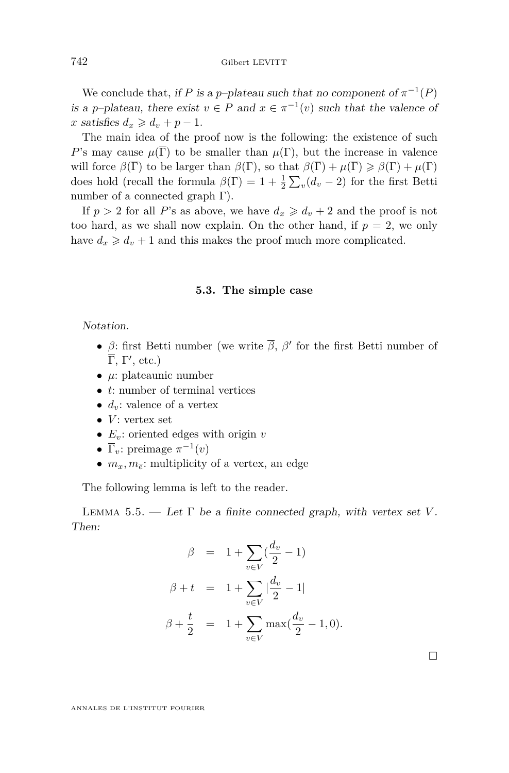<span id="page-18-0"></span>We conclude that, if *P* is a *p*-plateau such that no component of  $\pi^{-1}(P)$ is a *p*-plateau, there exist  $v \in P$  and  $x \in \pi^{-1}(v)$  such that the valence of  $x$  satisfies  $d_x \geq d_y + p - 1$ .

The main idea of the proof now is the following: the existence of such *P*'s may cause  $\mu(\overline{\Gamma})$  to be smaller than  $\mu(\Gamma)$ , but the increase in valence will force  $\beta(\overline{\Gamma})$  to be larger than  $\beta(\Gamma)$ , so that  $\beta(\overline{\Gamma}) + \mu(\overline{\Gamma}) \geq \beta(\Gamma) + \mu(\Gamma)$ does hold (recall the formula  $\beta(\Gamma) = 1 + \frac{1}{2} \sum_{v} (d_v - 2)$  for the first Betti number of a connected graph  $\Gamma$ ).

If  $p > 2$  for all P's as above, we have  $d_x \geq d_y + 2$  and the proof is not too hard, as we shall now explain. On the other hand, if  $p = 2$ , we only have  $d_x \geq d_y + 1$  and this makes the proof much more complicated.

#### **5.3. The simple case**

Notation.

- *β*: first Betti number (we write  $\overline{\beta}$ ,  $\beta'$  for the first Betti number of  $\overline{\Gamma}$ , Γ', etc.)
- *µ*: plateaunic number
- *t*: number of terminal vertices
- $d_v$ : valence of a vertex
- $\bullet$  *V*: vertex set
- $E_v$ : oriented edges with origin *v*
- $\overline{\Gamma}_v$ : preimage  $\pi^{-1}(v)$
- $m_x, m_{\overline{e}}$ : multiplicity of a vertex, an edge

The following lemma is left to the reader.

LEMMA 5.5. — Let  $\Gamma$  be a finite connected graph, with vertex set *V*. Then:

$$
\beta = 1 + \sum_{v \in V} \left( \frac{d_v}{2} - 1 \right)
$$
  

$$
\beta + t = 1 + \sum_{v \in V} \left| \frac{d_v}{2} - 1 \right|
$$
  

$$
\beta + \frac{t}{2} = 1 + \sum_{v \in V} \max \left( \frac{d_v}{2} - 1, 0 \right).
$$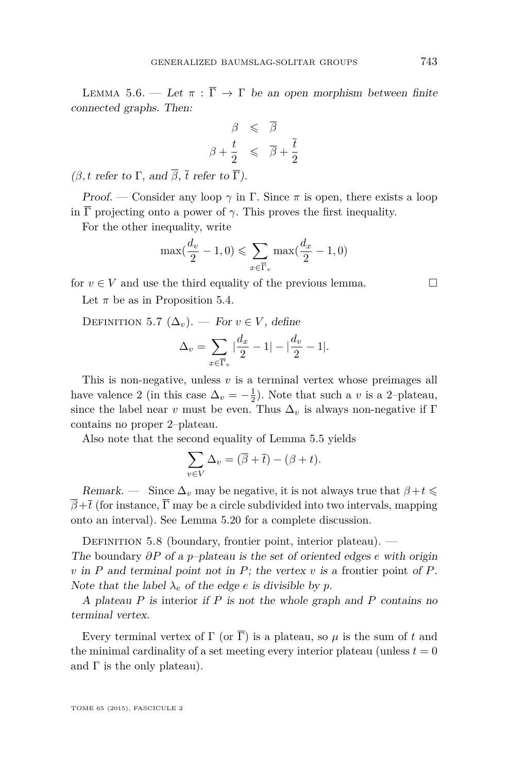<span id="page-19-0"></span>LEMMA 5.6. — Let  $\pi : \overline{\Gamma} \to \Gamma$  be an open morphism between finite connected graphs. Then:

$$
\begin{array}{rcl}\n\beta & \leqslant & \overline{\beta} \\
\beta + \frac{t}{2} & \leqslant & \overline{\beta} + \frac{\overline{t}}{2}\n\end{array}
$$

(*β, t* refer to  $\Gamma$ , and  $\overline{\beta}$ ,  $\overline{t}$  refer to  $\overline{\Gamma}$ ).

Proof. — Consider any loop  $\gamma$  in  $\Gamma$ . Since  $\pi$  is open, there exists a loop in  $\overline{\Gamma}$  projecting onto a power of  $\gamma$ . This proves the first inequality.

For the other inequality, write

$$
\max(\frac{d_v}{2} - 1, 0) \leqslant \sum_{x \in \overline{\Gamma}_v} \max(\frac{d_x}{2} - 1, 0)
$$

for  $v \in V$  and use the third equality of the previous lemma.

Let  $\pi$  be as in Proposition [5.4.](#page-17-0)

DEFINITION 5.7  $(\Delta_v)$ . — For  $v \in V$ , define

$$
\Delta_v = \sum_{x \in \overline{\Gamma}_v} \left| \frac{d_x}{2} - 1 \right| - \left| \frac{d_v}{2} - 1 \right|.
$$

This is non-negative, unless *v* is a terminal vertex whose preimages all have valence 2 (in this case  $\Delta_v = -\frac{1}{2}$ ). Note that such a *v* is a 2-plateau, since the label near *v* must be even. Thus  $\Delta_v$  is always non-negative if Γ contains no proper 2–plateau.

Also note that the second equality of Lemma [5.5](#page-18-0) yields

$$
\sum_{v \in V} \Delta_v = (\overline{\beta} + \overline{t}) - (\beta + t).
$$

Remark. — Since  $\Delta_v$  may be negative, it is not always true that  $\beta + t \leq$  $\overline{\beta}+\overline{t}$  (for instance,  $\overline{\Gamma}$  may be a circle subdivided into two intervals, mapping onto an interval). See Lemma [5.20](#page-23-0) for a complete discussion.

DEFINITION 5.8 (boundary, frontier point, interior plateau). —

The boundary *∂P* of a *p*–plateau is the set of oriented edges *e* with origin *v* in *P* and terminal point not in *P*; the vertex *v* is a frontier point of *P*. Note that the label  $\lambda_e$  of the edge *e* is divisible by *p*.

A plateau *P* is interior if *P* is not the whole graph and *P* contains no terminal vertex.

Every terminal vertex of  $\Gamma$  (or  $\overline{\Gamma}$ ) is a plateau, so  $\mu$  is the sum of t and the minimal cardinality of a set meeting every interior plateau (unless  $t = 0$ ) and  $\Gamma$  is the only plateau).

TOME 65 (2015), FASCICULE 2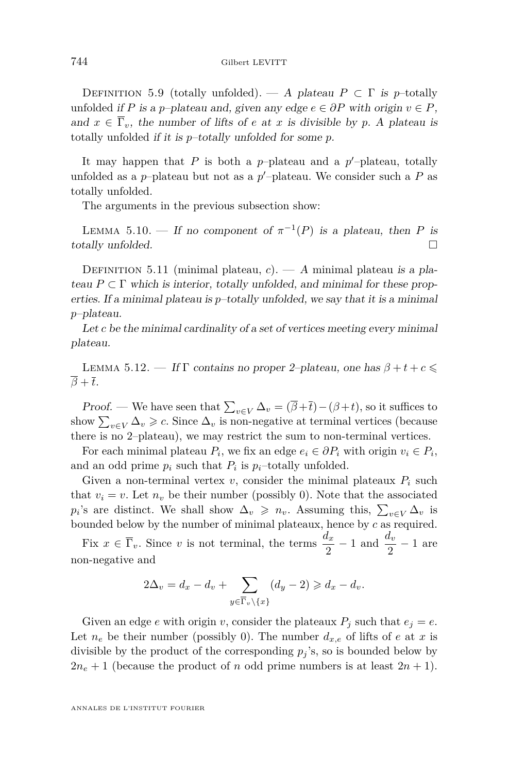<span id="page-20-0"></span>DEFINITION 5.9 (totally unfolded). — A plateau  $P \subset \Gamma$  is p–totally unfolded if *P* is a *p*–plateau and, given any edge  $e \in \partial P$  with origin  $v \in P$ , and  $x \in \overline{\Gamma}_v$ , the number of lifts of *e* at *x* is divisible by *p*. A plateau is totally unfolded if it is *p*–totally unfolded for some *p*.

It may happen that  $P$  is both a  $p$ -plateau and a  $p'$ -plateau, totally unfolded as a  $p$ –plateau but not as a  $p'$ –plateau. We consider such a  $P$  as totally unfolded.

The arguments in the previous subsection show:

LEMMA 5.10. — If no component of  $\pi^{-1}(P)$  is a plateau, then P is totally unfolded.

DEFINITION 5.11 (minimal plateau,  $c$ ). — A minimal plateau is a plateau  $P \subset \Gamma$  which is interior, totally unfolded, and minimal for these properties. If a minimal plateau is *p*–totally unfolded, we say that it is a minimal *p*–plateau.

Let *c* be the minimal cardinality of a set of vertices meeting every minimal plateau.

LEMMA 5.12. — If  $\Gamma$  contains no proper 2–plateau, one has  $\beta + t + c \leq$  $\overline{\beta} + \overline{t}$ .

Proof. — We have seen that  $\sum_{v \in V} \Delta_v = (\beta + \overline{t}) - (\beta + t)$ , so it suffices to show  $\sum_{v \in V} \Delta_v \geq c$ . Since  $\Delta_v$  is non-negative at terminal vertices (because there is no 2–plateau), we may restrict the sum to non-terminal vertices.

For each minimal plateau  $P_i$ , we fix an edge  $e_i \in \partial P_i$  with origin  $v_i \in P_i$ , and an odd prime  $p_i$  such that  $P_i$  is  $p_i$ -totally unfolded.

Given a non-terminal vertex  $v$ , consider the minimal plateaux  $P_i$  such that  $v_i = v$ . Let  $n_v$  be their number (possibly 0). Note that the associated  $p_i$ 's are distinct. We shall show  $\Delta_v \geq n_v$ . Assuming this,  $\sum_{v \in V} \Delta_v$  is bounded below by the number of minimal plateaux, hence by *c* as required.

Fix  $x \in \overline{\Gamma}_v$ . Since *v* is not terminal, the terms  $\frac{d_x}{2} - 1$  and  $\frac{d_v}{2} - 1$  are non-negative and

$$
2\Delta_v = d_x - d_v + \sum_{y \in \overline{\Gamma}_v \backslash \{x\}} (d_y - 2) \geq d_x - d_v.
$$

Given an edge *e* with origin *v*, consider the plateaux  $P_j$  such that  $e_j = e$ . Let  $n_e$  be their number (possibly 0). The number  $d_{x,e}$  of lifts of *e* at *x* is divisible by the product of the corresponding  $p_j$ 's, so is bounded below by  $2n_e + 1$  (because the product of *n* odd prime numbers is at least  $2n + 1$ ).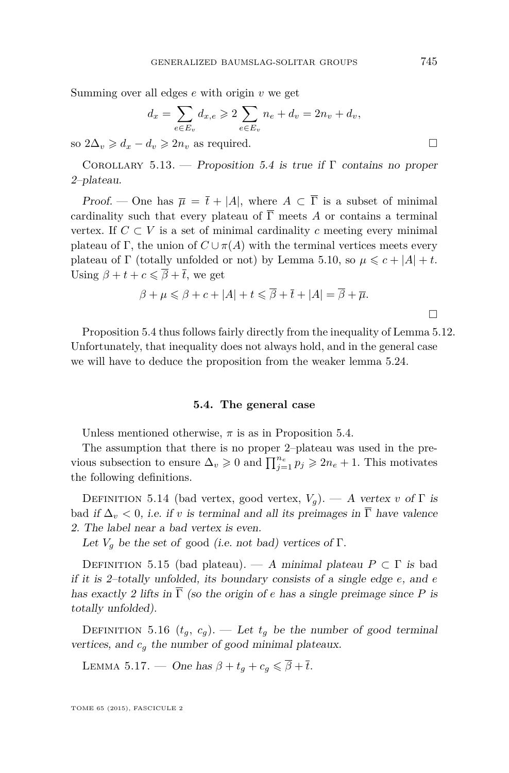<span id="page-21-0"></span>Summing over all edges *e* with origin *v* we get

$$
d_x = \sum_{e \in E_v} d_{x,e} \ge 2 \sum_{e \in E_v} n_e + d_v = 2n_v + d_v,
$$

so  $2\Delta_v \geq d_x - d_v \geq 2n_v$  as required.

COROLLARY 5.13. — Proposition [5.4](#page-17-0) is true if  $\Gamma$  contains no proper 2–plateau.

Proof. — One has  $\overline{\mu} = \overline{t} + |A|$ , where  $A \subset \overline{\Gamma}$  is a subset of minimal cardinality such that every plateau of  $\overline{\Gamma}$  meets *A* or contains a terminal vertex. If  $C \subset V$  is a set of minimal cardinality c meeting every minimal plateau of Γ, the union of  $C \cup \pi(A)$  with the terminal vertices meets every plateau of  $\Gamma$  (totally unfolded or not) by Lemma [5.10,](#page-20-0) so  $\mu \leq c + |A| + t$ . Using  $\beta + t + c \leq \overline{\beta} + \overline{t}$ , we get

$$
\beta + \mu \leq \beta + c + |A| + t \leq \overline{\beta} + \overline{t} + |A| = \overline{\beta} + \overline{\mu}.
$$

Proposition [5.4](#page-17-0) thus follows fairly directly from the inequality of Lemma [5.12.](#page-20-0) Unfortunately, that inequality does not always hold, and in the general case we will have to deduce the proposition from the weaker lemma [5.24.](#page-27-0)

#### **5.4. The general case**

Unless mentioned otherwise,  $\pi$  is as in Proposition [5.4.](#page-17-0)

The assumption that there is no proper 2–plateau was used in the previous subsection to ensure  $\Delta_v \geq 0$  and  $\prod_{j=1}^{n_e} p_j \geq 2n_e + 1$ . This motivates the following definitions.

DEFINITION 5.14 (bad vertex, good vertex,  $V_g$ ). — A vertex *v* of  $\Gamma$  is bad if  $\Delta_v < 0$ , i.e. if *v* is terminal and all its preimages in  $\overline{\Gamma}$  have valence 2. The label near a bad vertex is even.

Let  $V_g$  be the set of good (i.e. not bad) vertices of  $\Gamma$ .

DEFINITION 5.15 (bad plateau). — A minimal plateau  $P \subset \Gamma$  is bad if it is 2–totally unfolded, its boundary consists of a single edge *e*, and *e* has exactly 2 lifts in  $\overline{\Gamma}$  (so the origin of *e* has a single preimage since *P* is totally unfolded).

DEFINITION 5.16  $(t_g, c_g)$ . — Let  $t_g$  be the number of good terminal vertices, and  $c_q$  the number of good minimal plateaux.

LEMMA 5.17. — One has  $\beta + t_g + c_g \leq \overline{\beta} + \overline{t}$ .

TOME 65 (2015), FASCICULE 2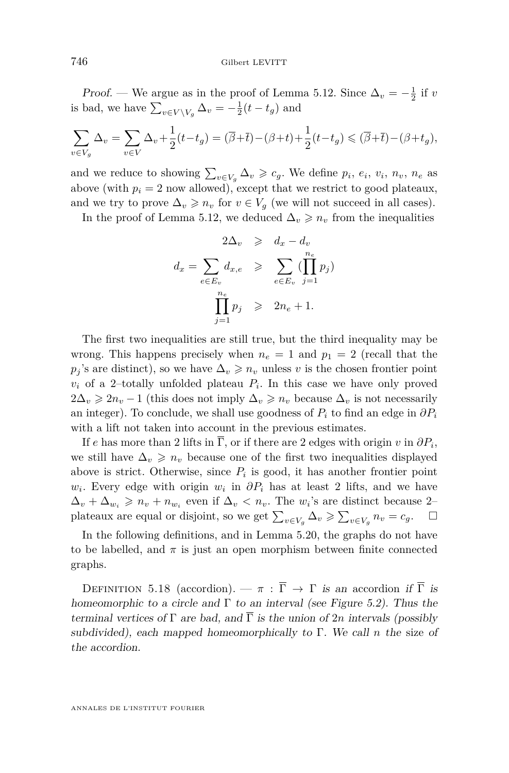<span id="page-22-0"></span>*Proof.* — We argue as in the proof of Lemma [5.12.](#page-20-0) Since  $\Delta_v = -\frac{1}{2}$  if *v* is bad, we have  $\sum_{v \in V \setminus V_g} \Delta_v = -\frac{1}{2}(t - t_g)$  and

$$
\sum_{v \in V_g} \Delta_v = \sum_{v \in V} \Delta_v + \frac{1}{2}(t - t_g) = (\overline{\beta} + \overline{t}) - (\beta + t) + \frac{1}{2}(t - t_g) \leq (\overline{\beta} + \overline{t}) - (\beta + t_g),
$$

and we reduce to showing  $\sum_{v \in V_g} \Delta_v \geqslant c_g$ . We define  $p_i$ ,  $e_i$ ,  $v_i$ ,  $n_v$ ,  $n_e$  as above (with  $p_i = 2$  now allowed), except that we restrict to good plateaux, and we try to prove  $\Delta_v \geqslant n_v$  for  $v \in V_g$  (we will not succeed in all cases).

In the proof of Lemma [5.12,](#page-20-0) we deduced  $\Delta_v \geq n_v$  from the inequalities

$$
2\Delta_v \geq d_x - d_v
$$
  

$$
d_x = \sum_{e \in E_v} d_{x,e} \geqslant \sum_{e \in E_v} (\prod_{j=1}^{n_e} p_j)
$$
  

$$
\prod_{j=1}^{n_e} p_j \geqslant 2n_e + 1.
$$

The first two inequalities are still true, but the third inequality may be wrong. This happens precisely when  $n_e = 1$  and  $p_1 = 2$  (recall that the  $p_j$ 's are distinct), so we have  $\Delta_v \geq n_v$  unless *v* is the chosen frontier point  $v_i$  of a 2–totally unfolded plateau  $P_i$ . In this case we have only proved 2∆*v*  $\geq 2n_v - 1$  (this does not imply  $\Delta_v \geq n_v$  because  $\Delta_v$  is not necessarily an integer). To conclude, we shall use goodness of  $P_i$  to find an edge in  $\partial P_i$ with a lift not taken into account in the previous estimates.

If *e* has more than 2 lifts in  $\Gamma$ , or if there are 2 edges with origin *v* in  $\partial P_i$ , we still have  $\Delta_v \geq n_v$  because one of the first two inequalities displayed above is strict. Otherwise, since  $P_i$  is good, it has another frontier point  $w_i$ . Every edge with origin  $w_i$  in  $\partial P_i$  has at least 2 lifts, and we have  $\Delta_v + \Delta_{w_i} \geqslant n_v + n_{w_i}$  even if  $\Delta_v < n_v$ . The  $w_i$ 's are distinct because 2– plateaux are equal or disjoint, so we get  $\sum_{v \in V_g} \Delta_v \geq \sum_{v \in V_g} n_v = c_g$ .  $\Box$ 

In the following definitions, and in Lemma [5.20,](#page-23-0) the graphs do not have to be labelled, and  $\pi$  is just an open morphism between finite connected graphs.

DEFINITION 5.18 (accordion).  $-\pi$  :  $\overline{\Gamma} \rightarrow \Gamma$  is an accordion if  $\overline{\Gamma}$  is homeomorphic to a circle and  $\Gamma$  to an interval (see Figure [5.2\)](#page-23-0). Thus the terminal vertices of  $\Gamma$  are bad, and  $\overline{\Gamma}$  is the union of 2*n* intervals (possibly subdivided), each mapped homeomorphically to Γ. We call *n* the size of the accordion.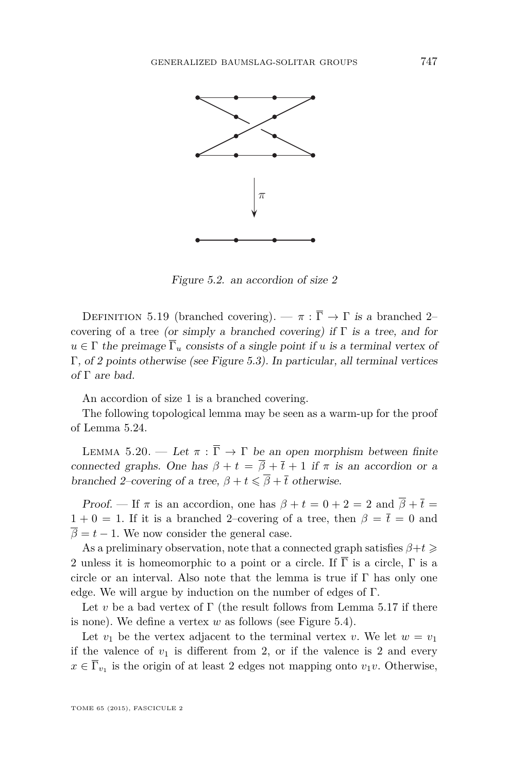<span id="page-23-0"></span>

Figure 5.2. an accordion of size  $2$ 

 $D$  EFTINTION 5.15 (branched covering).  $\theta$  1.1  $\theta$  1 is a branched 2 covering of a tree, or simply a branched covering) if Γ is a tree, and for DEFINITION 5.19 (branched covering). —  $\pi : \overline{\Gamma} \to \Gamma$  is a branched 2–  $u \in \Gamma$  the preimage  $\overline{\Gamma}_u$  consists of a single point if *u* is a terminal vertex of Γ, of 2 points otherwise (see Figure [5.3\)](#page-24-0). In particular, all terminal vertices of  $\Gamma$  are bad.

An accordion of size 1 is a branched covering.

The following topological lemma may be seen as a warm-up for the proof of Lemma [5.24.](#page-27-0)

LEMMA 5.20. — Let  $\pi : \overline{\Gamma} \to \Gamma$  be an open morphism between finite connected graphs. One has  $\beta + t = \overline{\beta} + \overline{t} + 1$  if  $\pi$  is an accordion or a branched 2–covering of a tree,  $\beta + t \leq \overline{\beta} + \overline{t}$  otherwise.

Proof. — If  $\pi$  is an accordion, one has  $\beta + t = 0 + 2 = 2$  and  $\overline{\beta} + \overline{t} =$  $1 + 0 = 1$ . If it is a branched 2–covering of a tree, then  $\beta = \bar{t} = 0$  and  $\overline{\beta} = t - 1$ . We now consider the general case.

As a preliminary observation, note that a connected graph satisfies  $\beta + t \geq$ 2 unless it is homeomorphic to a point or a circle. If  $\overline{\Gamma}$  is a circle,  $\Gamma$  is a circle or an interval. Also note that the lemma is true if  $\Gamma$  has only one edge. We will argue by induction on the number of edges of Γ.

Let *v* be a bad vertex of  $\Gamma$  (the result follows from Lemma [5.17](#page-21-0) if there is none). We define a vertex *w* as follows (see Figure [5.4\)](#page-24-0).

Let  $v_1$  be the vertex adjacent to the terminal vertex *v*. We let  $w = v_1$ if the valence of  $v_1$  is different from 2, or if the valence is 2 and every  $x \in \Gamma_{v_1}$  is the origin of at least 2 edges not mapping onto  $v_1v$ . Otherwise,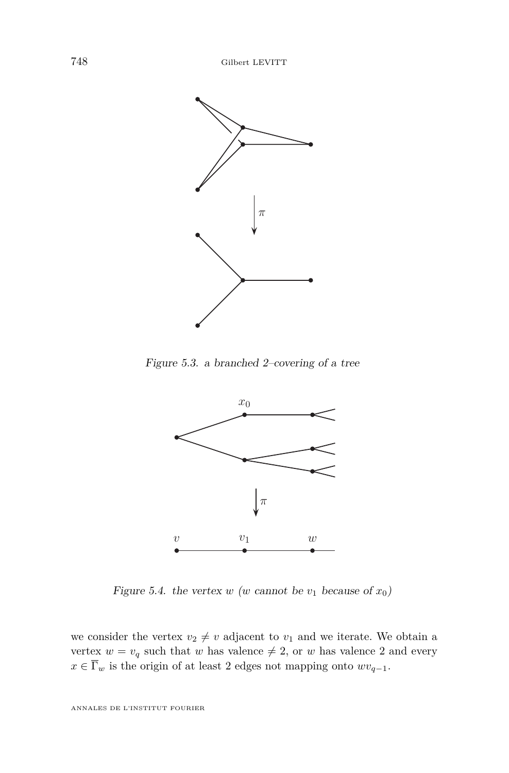<span id="page-24-0"></span>

Figure 5.3. a branched 2–covering of a tree



Figure 5.4, the vertex w (w cannot be  $v_1$  because of x Figure 5.4. the vertex  $w$  ( $w$  cannot be  $v_1$  because of  $x_0$ )

we consider the vertex  $v_2 \neq v$  adjacent to  $v_1$  and we iterate. We obtain a vertex  $w = v_q$  such that w has valence  $\neq 2$ , or w has valence 2 and every  $x \in \overline{\Gamma}_w$  is the origin of at least 2 edges not mapping onto  $wv_{q-1}$ .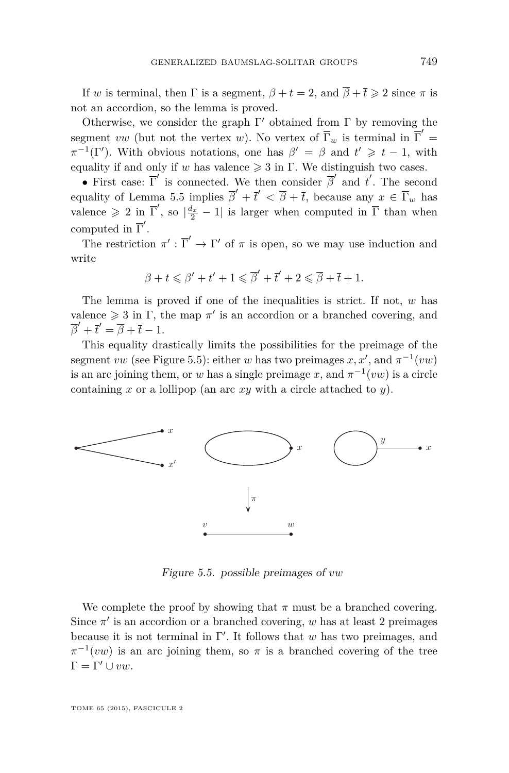<span id="page-25-0"></span>If *w* is terminal, then  $\Gamma$  is a segment,  $\beta + t = 2$ , and  $\overline{\beta} + \overline{t} \geq 2$  since  $\pi$  is not an accordion, so the lemma is proved.

Otherwise, we consider the graph  $\Gamma'$  obtained from  $\Gamma$  by removing the segment *vw* (but not the vertex *w*). No vertex of  $\overline{\Gamma}_w$  is terminal in  $\overline{\Gamma}'$  =  $\pi^{-1}(\Gamma')$ . With obvious notations, one has  $\beta' = \beta$  and  $t' \geq t - 1$ , with equality if and only if *w* has valence  $\geq 3$  in Γ. We distinguish two cases.

• First case:  $\overline{\Gamma}'$  is connected. We then consider  $\overline{\beta}'$  and  $\overline{t}'$ . The second equality of Lemma [5.5](#page-18-0) implies  $\overline{\beta}' + \overline{t}' < \overline{\beta} + \overline{t}$ , because any  $x \in \overline{\Gamma}_w$  has valence  $\geq 2$  in  $\overline{\Gamma}'$ , so  $\left|\frac{d_x}{2} - 1\right|$  is larger when computed in  $\overline{\Gamma}$  than when computed in  $\overline{\Gamma}'$ .

The restriction  $\pi' : \overline{\Gamma}' \to \Gamma'$  of  $\pi$  is open, so we may use induction and write

$$
\beta + t \leqslant \beta' + t' + 1 \leqslant \overline{\beta}' + \overline{t}' + 2 \leqslant \overline{\beta} + \overline{t} + 1.
$$

The lemma is proved if one of the inequalities is strict. If not, w has valence  $\geq 3$  in  $\Gamma$ , the map  $\pi'$  is an accordion or a branched covering, and  $\overline{\beta}' + \overline{t}' = \overline{\beta} + \overline{t} - 1.$ 

This equality drastically limits the possibilities for the preimage of the  $\overline{\phantom{a}}$ This equality diastically limits the possibilities for the premage of the segment vw (see Figure 5.5): either w has two preimages x, x', and  $\pi^{-1}(vw)$ is an arc joining them, or *w* has a single preimage x, and  $\pi^{-1}(vw)$  is a circle containing x or a lollipop (an arc  $xy$  with a circle attached to  $y$ ). with a circle attached to y).



Figure 5.5. possible preimages of *vw* 

in Γ-We complete the proof by showing that  $\pi$  must be a branched covering.  $\frac{1}{2}$  is an assorbing or a branched  $\frac{1}{2}$ Since  $\pi'$  is an accordion or a branched covering, *w* has at least 2 preimages because it is not terminal in Γ'. It follows that *w* has two preimages, and  $\Gamma = \Gamma' \cup vw.$  $\pi^{-1}(vw)$  is an arc joining them, so  $\pi$  is a branched covering of the tree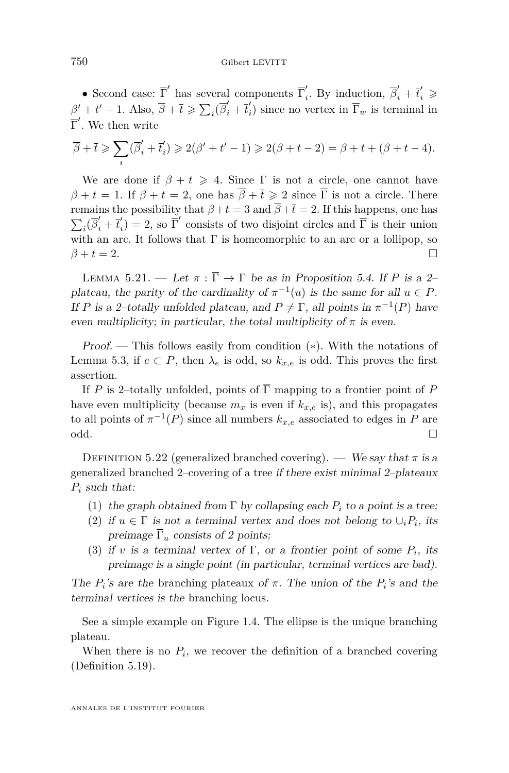<span id="page-26-0"></span>• Second case:  $\overline{\Gamma}'$  has several components  $\overline{\Gamma}'_i$  $\overline{\beta}'_i$ . By induction,  $\overline{\beta}'_i + \overline{t}'_i \geqslant$  $\beta' + t' - 1$ . Also,  $\overline{\beta} + \overline{t} \geqslant \sum_i (\overline{\beta}'_i + \overline{t}'_i)$  $\binom{n}{i}$  since no vertex in  $\Gamma_w$  is terminal in  $\overline{\Gamma}'$ . We then write

$$
\overline{\beta} + \overline{t} \geqslant \sum_i (\overline{\beta}'_i + \overline{t}'_i) \geqslant 2(\beta' + t' - 1) \geqslant 2(\beta + t - 2) = \beta + t + (\beta + t - 4).
$$

We are done if  $\beta + t \geq 4$ . Since  $\Gamma$  is not a circle, one cannot have  $\beta + t = 1$ . If  $\beta + t = 2$ , one has  $\overline{\beta} + \overline{t} \geq 2$  since  $\overline{\Gamma}$  is not a circle. There remains the possibility that  $\beta + t = 3$  and  $\overline{\beta} + \overline{t} = 2$ . If this happens, one has  $\sum_i (\overline{\beta}'_i + \overline{t}'_i)$  $\sum_i (P_i + e_i) = 2$ , so T consists of two disjoint cricks and T is their difformation with an arc. It follows that  $\Gamma$  is homeomorphic to an arc or a lollipop, so  $\bar{I}_i$ ) = 2, so  $\bar{\Gamma}'$  consists of two disjoint circles and  $\bar{\Gamma}$  is their union  $\beta + t = 2.$ 

LEMMA 5.21. — Let  $\pi : \overline{\Gamma} \to \Gamma$  be as in Proposition [5.4.](#page-17-0) If *P* is a 2plateau, the parity of the cardinality of  $\pi^{-1}(u)$  is the same for all  $u \in P$ . If *P* is a 2-totally unfolded plateau, and  $P \neq \Gamma$ , all points in  $\pi^{-1}(P)$  have even multiplicity; in particular, the total multiplicity of  $\pi$  is even.

Proof. — This follows easily from condition (∗). With the notations of Lemma [5.3,](#page-16-0) if  $e \subset P$ , then  $\lambda_e$  is odd, so  $k_{x,e}$  is odd. This proves the first assertion.

If *P* is 2–totally unfolded, points of  $\overline{\Gamma}$  mapping to a frontier point of *P* have even multiplicity (because  $m_x$  is even if  $k_{x,e}$  is), and this propagates to all points of  $\pi^{-1}(P)$  since all numbers  $k_{x,e}$  associated to edges in  $P$  are odd.

DEFINITION 5.22 (generalized branched covering). — We say that  $\pi$  is a generalized branched 2–covering of a tree if there exist minimal 2–plateaux *P<sup>i</sup>* such that:

- (1) the graph obtained from  $\Gamma$  by collapsing each  $P_i$  to a point is a tree;
- (2) if  $u \in \Gamma$  is not a terminal vertex and does not belong to  $\cup_i P_i$ , its preimage  $\overline{\Gamma}_u$  consists of 2 points;
- (3) if *v* is a terminal vertex of  $\Gamma$ , or a frontier point of some  $P_i$ , its preimage is a single point (in particular, terminal vertices are bad).

The  $P_i$ 's are the branching plateaux of  $\pi$ . The union of the  $P_i$ 's and the terminal vertices is the branching locus.

See a simple example on Figure [1.4.](#page-5-0) The ellipse is the unique branching plateau.

When there is no  $P_i$ , we recover the definition of a branched covering (Definition [5.19\)](#page-23-0).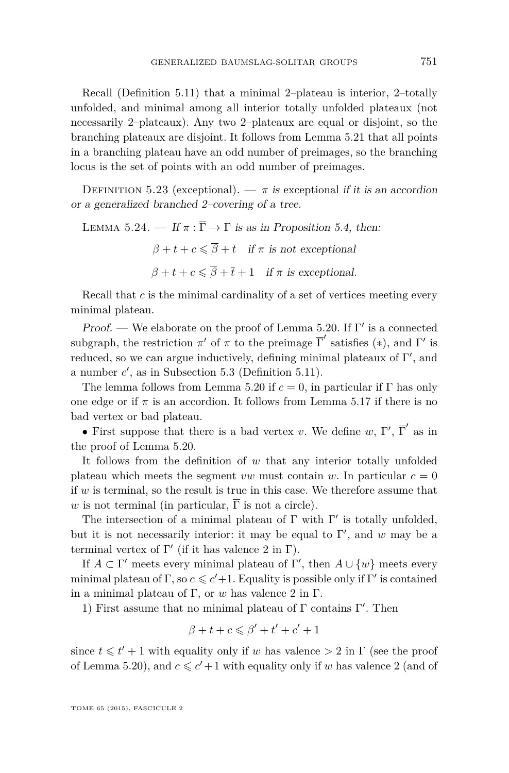<span id="page-27-0"></span>Recall (Definition [5.11\)](#page-20-0) that a minimal 2–plateau is interior, 2–totally unfolded, and minimal among all interior totally unfolded plateaux (not necessarily 2–plateaux). Any two 2–plateaux are equal or disjoint, so the branching plateaux are disjoint. It follows from Lemma [5.21](#page-26-0) that all points in a branching plateau have an odd number of preimages, so the branching locus is the set of points with an odd number of preimages.

DEFINITION 5.23 (exceptional). —  $\pi$  is exceptional if it is an accordion or a generalized branched 2–covering of a tree.

LEMMA 5.24. 
$$
-
$$
 If  $\pi : \overline{\Gamma} \to \Gamma$  is as in Proposition 5.4, then:  
\n $\beta + t + c \leq \overline{\beta} + \overline{t}$  if  $\pi$  is not exceptional  
\n $\beta + t + c \leq \overline{\beta} + \overline{t} + 1$  if  $\pi$  is exceptional.

Recall that *c* is the minimal cardinality of a set of vertices meeting every minimal plateau.

Proof. — We elaborate on the proof of Lemma [5.20.](#page-23-0) If  $\Gamma'$  is a connected subgraph, the restriction  $\pi'$  of  $\pi$  to the preimage  $\overline{\Gamma}'$  satisfies (\*), and  $\Gamma'$  is reduced, so we can argue inductively, defining minimal plateaux of  $\Gamma'$ , and a number  $c'$ , as in Subsection [5.3](#page-18-0) (Definition [5.11\)](#page-20-0).

The lemma follows from Lemma [5.20](#page-23-0) if  $c = 0$ , in particular if Γ has only one edge or if  $\pi$  is an accordion. It follows from Lemma [5.17](#page-21-0) if there is no bad vertex or bad plateau.

• First suppose that there is a bad vertex *v*. We define *w*,  $\Gamma'$ ,  $\overline{\Gamma}'$  as in the proof of Lemma [5.20.](#page-23-0)

It follows from the definition of *w* that any interior totally unfolded plateau which meets the segment *vw* must contain *w*. In particular  $c = 0$ if *w* is terminal, so the result is true in this case. We therefore assume that *w* is not terminal (in particular,  $\overline{\Gamma}$  is not a circle).

The intersection of a minimal plateau of  $\Gamma$  with  $\Gamma'$  is totally unfolded, but it is not necessarily interior: it may be equal to  $\Gamma'$ , and *w* may be a terminal vertex of  $\Gamma'$  (if it has valence 2 in  $\Gamma$ ).

If  $A \subset \Gamma'$  meets every minimal plateau of  $\Gamma'$ , then  $A \cup \{w\}$  meets every minimal plateau of  $\Gamma$ , so  $c \leq c' + 1$ . Equality is possible only if  $\Gamma'$  is contained in a minimal plateau of Γ, or *w* has valence 2 in Γ.

1) First assume that no minimal plateau of Γ contains Γ'. Then

$$
\beta+t+c\leqslant \beta'+t'+c'+1
$$

since  $t \leq t' + 1$  with equality only if *w* has valence  $> 2$  in  $\Gamma$  (see the proof of Lemma [5.20\)](#page-23-0), and  $c \leq c' + 1$  with equality only if *w* has valence 2 (and of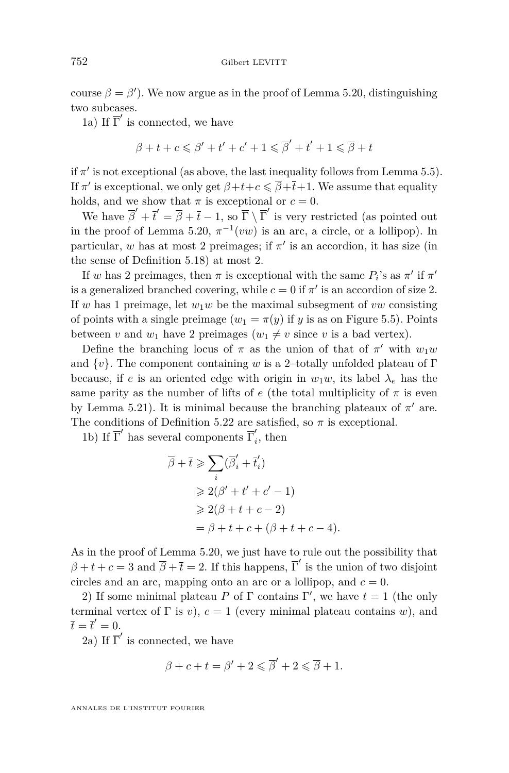course  $\beta = \beta'$ ). We now argue as in the proof of Lemma [5.20,](#page-23-0) distinguishing two subcases.

1a) If  $\overline{\Gamma}'$  is connected, we have

$$
\beta + t + c \leqslant \beta' + t' + c' + 1 \leqslant \overline{\beta}' + \overline{t}' + 1 \leqslant \overline{\beta} + \overline{t}
$$

if  $\pi'$  is not exceptional (as above, the last inequality follows from Lemma [5.5\)](#page-18-0). If  $\pi'$  is exceptional, we only get  $\beta+t+c \leq \overline{\beta}+\overline{t}+1$ . We assume that equality holds, and we show that  $\pi$  is exceptional or  $c = 0$ .

We have  $\overline{\beta}' + \overline{t}' = \overline{\beta} + \overline{t} - 1$ , so  $\overline{\Gamma} \setminus \overline{\Gamma}'$  is very restricted (as pointed out in the proof of Lemma [5.20,](#page-23-0)  $\pi^{-1}(vw)$  is an arc, a circle, or a lollipop). In particular, *w* has at most 2 preimages; if  $\pi'$  is an accordion, it has size (in the sense of Definition [5.18\)](#page-22-0) at most 2.

If *w* has 2 preimages, then  $\pi$  is exceptional with the same  $P_i$ 's as  $\pi'$  if  $\pi'$ is a generalized branched covering, while  $c = 0$  if  $\pi'$  is an accordion of size 2. If *w* has 1 preimage, let  $w_1w$  be the maximal subsegment of *vw* consisting of points with a single preimage  $(w_1 = \pi(y))$  if *y* is as on Figure [5.5\)](#page-25-0). Points between *v* and  $w_1$  have 2 preimages ( $w_1 \neq v$  since *v* is a bad vertex).

Define the branching locus of  $\pi$  as the union of that of  $\pi'$  with  $w_1w$ and {*v*}. The component containing *w* is a 2–totally unfolded plateau of Γ because, if *e* is an oriented edge with origin in  $w_1w$ , its label  $\lambda_e$  has the same parity as the number of lifts of  $e$  (the total multiplicity of  $\pi$  is even by Lemma [5.21\)](#page-26-0). It is minimal because the branching plateaux of  $\pi'$  are. The conditions of Definition [5.22](#page-26-0) are satisfied, so  $\pi$  is exceptional.

1b) If  $\overline{\Gamma}'$  has several components  $\overline{\Gamma}'_i$  $i$ <sup>*i*</sup>, then

$$
\overline{\beta} + \overline{t} \geqslant \sum_{i} (\overline{\beta}'_{i} + \overline{t}'_{i})
$$
\n
$$
\geqslant 2(\beta' + t' + c' - 1)
$$
\n
$$
\geqslant 2(\beta + t + c - 2)
$$
\n
$$
= \beta + t + c + (\beta + t + c - 4).
$$

As in the proof of Lemma [5.20,](#page-23-0) we just have to rule out the possibility that  $\beta + t + c = 3$  and  $\overline{\beta} + \overline{t} = 2$ . If this happens,  $\overline{\Gamma}'$  is the union of two disjoint circles and an arc, mapping onto an arc or a lollipop, and  $c = 0$ .

2) If some minimal plateau P of  $\Gamma$  contains  $\Gamma'$ , we have  $t = 1$  (the only terminal vertex of  $\Gamma$  is *v*),  $c = 1$  (every minimal plateau contains *w*), and  $\overline{t} = \overline{t}' = 0.$ 

2a) If  $\overline{\Gamma}'$  is connected, we have

$$
\beta+c+t=\beta'+2\leqslant \overline{\beta}'+2\leqslant \overline{\beta}+1.
$$

ANNALES DE L'INSTITUT FOURIER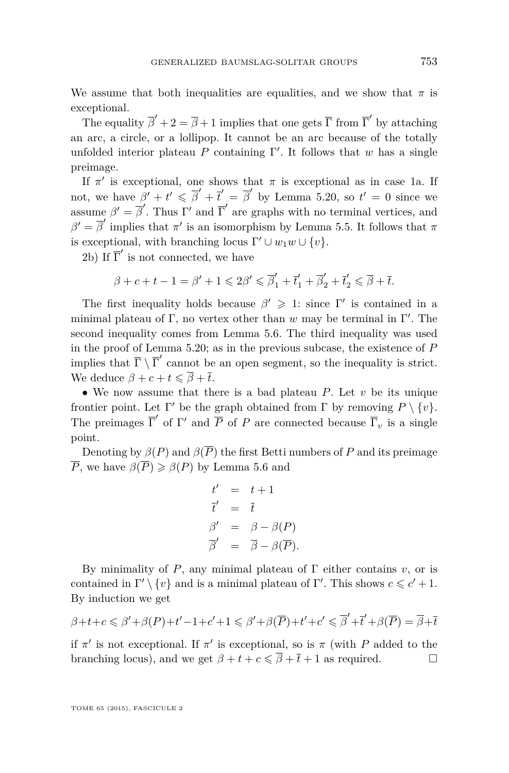We assume that both inequalities are equalities, and we show that  $\pi$  is exceptional.

The equality  $\overline{\beta}' + 2 = \overline{\beta} + 1$  implies that one gets  $\overline{\Gamma}$  from  $\overline{\Gamma}'$  by attaching an arc, a circle, or a lollipop. It cannot be an arc because of the totally unfolded interior plateau  $P$  containing  $\Gamma'$ . It follows that  $w$  has a single preimage.

If  $\pi'$  is exceptional, one shows that  $\pi$  is exceptional as in case 1a. If not, we have  $\beta' + t' \leq \overline{\beta}' + \overline{t}' = \overline{\beta}'$  by Lemma [5.20,](#page-23-0) so  $t' = 0$  since we assume  $\beta' = \overline{\beta}'$ . Thus Γ' and  $\overline{\Gamma}'$  are graphs with no terminal vertices, and  $\beta' = \overline{\beta}'$  implies that  $\pi'$  is an isomorphism by Lemma [5.5.](#page-18-0) It follows that  $\pi$ is exceptional, with branching locus  $\Gamma' \cup w_1w \cup \{v\}.$ 

2b) If  $\overline{\Gamma}'$  is not connected, we have

$$
\beta + c + t - 1 = \beta' + 1 \leq 2\beta' \leq \overline{\beta}'_1 + \overline{t}'_1 + \overline{\beta}'_2 + \overline{t}'_2 \leq \overline{\beta} + \overline{t}.
$$

The first inequality holds because  $\beta' \geq 1$ : since Γ' is contained in a minimal plateau of  $\Gamma$ , no vertex other than  $w$  may be terminal in  $\Gamma'$ . The second inequality comes from Lemma [5.6.](#page-19-0) The third inequality was used in the proof of Lemma [5.20;](#page-23-0) as in the previous subcase, the existence of *P* implies that  $\overline{\Gamma} \setminus \overline{\Gamma}'$  cannot be an open segment, so the inequality is strict. We deduce  $\beta + c + t \leq \overline{\beta} + \overline{t}$ .

• We now assume that there is a bad plateau *P*. Let *v* be its unique frontier point. Let  $\Gamma'$  be the graph obtained from  $\Gamma$  by removing  $P \setminus \{v\}$ . The preimages  $\overline{\Gamma}'$  of  $\Gamma'$  and  $\overline{P}$  of  $P$  are connected because  $\overline{\Gamma}_v$  is a single point.

Denoting by  $\beta(P)$  and  $\beta(\overline{P})$  the first Betti numbers of P and its preimage *P*, we have  $\beta(\overline{P}) \geq \beta(P)$  by Lemma [5.6](#page-19-0) and

$$
t' = t + 1
$$
  
\n
$$
\overline{t}' = \overline{t}
$$
  
\n
$$
\beta' = \beta - \beta(P)
$$
  
\n
$$
\overline{\beta}' = \overline{\beta} - \beta(\overline{P}).
$$

By minimality of *P*, any minimal plateau of  $\Gamma$  either contains *v*, or is contained in  $\Gamma' \setminus \{v\}$  and is a minimal plateau of  $\Gamma'$ . This shows  $c \leq c' + 1$ . By induction we get

$$
\beta+t+c\leqslant\beta'+\beta(P)+t'-1+c'+1\leqslant\beta'+\beta(\overline{P})+t'+c'\leqslant\overline{\beta}'+\overline{t}'+\beta(\overline{P})=\overline{\beta}+\overline{t}'+\beta(\overline{P})+\overline{t}'+\beta(\overline{P})+\overline{t}'+\beta(\overline{P})+\overline{t}'+\beta(\overline{P})+\overline{t}'+\beta(\overline{P})+\overline{t}'+\beta(\overline{P})+\overline{t}'+\beta(\overline{P})+\overline{t}'+\beta(\overline{P})+\overline{t}'+\beta(\overline{P})+\overline{t}'+\beta(\overline{P})+\overline{t}'+\beta(\overline{P})+\overline{t}'+\beta(\overline{P})+\overline{t}'+\beta(\overline{P})+\overline{t}'+\beta(\overline{P})+\overline{t}'+\beta(\overline{P})+\overline{t}'+\beta(\overline{P})+\overline{t}'+\beta(\overline{P})+\overline{t}'+\beta(\overline{P})+\overline{t}'+\beta(\overline{P})+\overline{t}'+\beta(\overline{P})+\overline{t}'+\beta(\overline{P})+\overline{t}'+\beta(\overline{P})+\overline{t}'+\beta(\overline{P})+\overline{t}'+\beta(\overline{P})+\overline{t}'+\beta(\overline{P})+\overline{t}'+\beta(\overline{P})+\overline{t}'+\beta(\overline{P})+\overline{t}'+\beta(\overline{P})+\overline{t}'+\beta(\overline{P})+\overline{t}'+\beta(\overline{P})+\overline{t}'+\beta(\overline{P})+\overline{t}'+\beta(\overline{P})+\overline{t}'+\beta(\overline{P})+\overline{t}'+\beta(\overline{P})+\overline{t}'+\beta(\overline{P})+\overline{t}'+\beta(\overline{P})+\overline{t}'+\beta(\overline{P})+\overline{t}'+\beta(\overline{P})+\overline{t}'+\beta(\overline{P})+\overline{t}'+\beta(\overline{P})+\overline{t}'+\beta(\overline{P})+\overline{t}'+\beta(\overline{P})+\overline{t}'+\beta(\overline{P})+\overline{t}'+\beta(\overline{P})+\overline{t}'+\beta(\overline{P})+\overline{t}'+\beta(\
$$

if  $\pi'$  is not exceptional. If  $\pi'$  is exceptional, so is  $\pi$  (with *P* added to the branching locus), and we get  $\beta + t + c \leq \overline{\beta} + \overline{t} + 1$  as required.

TOME 65 (2015), FASCICULE 2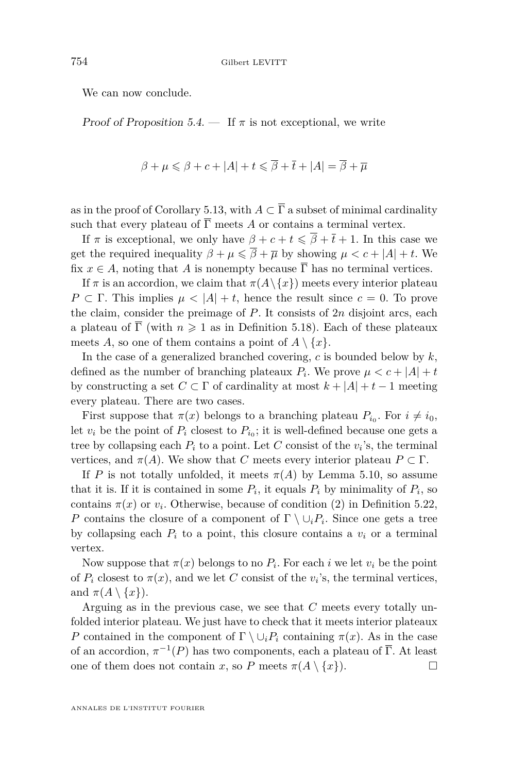<span id="page-30-0"></span>We can now conclude.

Proof of Proposition [5.4.](#page-17-0)  $\overline{\phantom{a}}$  If  $\pi$  is not exceptional, we write

$$
\beta + \mu \leqslant \beta + c + |A| + t \leqslant \overline{\beta} + \overline{t} + |A| = \overline{\beta} + \overline{\mu}
$$

as in the proof of Corollary [5.13,](#page-21-0) with  $A \subset \overline{\Gamma}$  a subset of minimal cardinality such that every plateau of  $\overline{\Gamma}$  meets *A* or contains a terminal vertex.

If  $\pi$  is exceptional, we only have  $\beta + c + t \leq \overline{\beta} + \overline{t} + 1$ . In this case we get the required inequality  $\beta + \mu \leq \overline{\beta} + \overline{\mu}$  by showing  $\mu < c + |A| + t$ . We fix  $x \in A$ , noting that *A* is nonempty because  $\overline{\Gamma}$  has no terminal vertices.

If  $\pi$  is an accordion, we claim that  $\pi(A \setminus \{x\})$  meets every interior plateau *P* ⊂ Γ. This implies  $\mu$  < |*A*| + *t*, hence the result since *c* = 0. To prove the claim, consider the preimage of *P*. It consists of 2*n* disjoint arcs, each a plateau of  $\overline{\Gamma}$  (with  $n \geq 1$  as in Definition [5.18\)](#page-22-0). Each of these plateaux meets *A*, so one of them contains a point of  $A \setminus \{x\}$ .

In the case of a generalized branched covering, *c* is bounded below by *k*, defined as the number of branching plateaux  $P_i$ . We prove  $\mu < c + |A| + t$ by constructing a set  $C \subset \Gamma$  of cardinality at most  $k + |A| + t - 1$  meeting every plateau. There are two cases.

First suppose that  $\pi(x)$  belongs to a branching plateau  $P_{i_0}$ . For  $i \neq i_0$ , let  $v_i$  be the point of  $P_i$  closest to  $P_{i_0}$ ; it is well-defined because one gets a tree by collapsing each  $P_i$  to a point. Let  $C$  consist of the  $v_i$ 's, the terminal vertices, and  $\pi(A)$ . We show that *C* meets every interior plateau  $P \subset \Gamma$ .

If *P* is not totally unfolded, it meets  $\pi(A)$  by Lemma [5.10,](#page-20-0) so assume that it is. If it is contained in some  $P_i$ , it equals  $P_i$  by minimality of  $P_i$ , so contains  $\pi(x)$  or  $v_i$ . Otherwise, because of condition (2) in Definition [5.22,](#page-26-0) *P* contains the closure of a component of  $\Gamma \setminus \cup_i P_i$ . Since one gets a tree by collapsing each  $P_i$  to a point, this closure contains a  $v_i$  or a terminal vertex.

Now suppose that  $\pi(x)$  belongs to no  $P_i$ . For each *i* we let  $v_i$  be the point of  $P_i$  closest to  $\pi(x)$ , and we let *C* consist of the  $v_i$ 's, the terminal vertices, and  $\pi(A \setminus \{x\})$ .

Arguing as in the previous case, we see that *C* meets every totally unfolded interior plateau. We just have to check that it meets interior plateaux *P* contained in the component of  $\Gamma \setminus \cup_i P_i$  containing  $\pi(x)$ . As in the case of an accordion,  $\pi^{-1}(P)$  has two components, each a plateau of  $\overline{\Gamma}$ . At least one of them does not contain *x*, so *P* meets  $\pi(A \setminus \{x\})$ .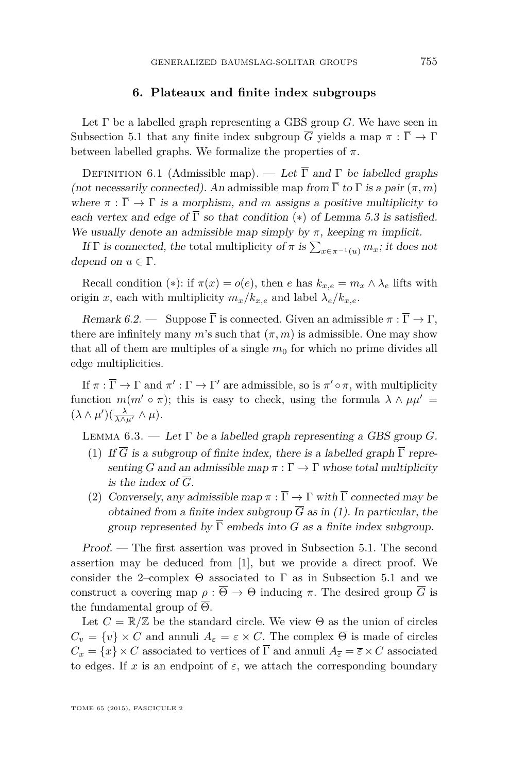#### **6. Plateaux and finite index subgroups**

<span id="page-31-0"></span>Let Γ be a labelled graph representing a GBS group *G*. We have seen in Subsection [5.1](#page-15-0) that any finite index subgroup  $\overline{G}$  yields a map  $\pi : \overline{\Gamma} \to \Gamma$ between labelled graphs. We formalize the properties of  $\pi$ .

DEFINITION 6.1 (Admissible map). — Let  $\overline{\Gamma}$  and  $\Gamma$  be labelled graphs (not necessarily connected). An admissible map from  $\overline{\Gamma}$  to  $\Gamma$  is a pair  $(\pi, m)$ where  $\pi : \overline{\Gamma} \to \Gamma$  is a morphism, and m assigns a positive multiplicity to each vertex and edge of  $\overline{\Gamma}$  so that condition (\*) of Lemma [5.3](#page-16-0) is satisfied. We usually denote an admissible map simply by  $\pi$ , keeping  $m$  implicit.

If  $\Gamma$  is connected, the total multiplicity of  $\pi$  is  $\sum_{x \in \pi^{-1}(u)} m_x$ ; it does not depend on  $u \in \Gamma$ .

Recall condition (\*): if  $\pi(x) = o(e)$ , then *e* has  $k_{x,e} = m_x \wedge \lambda_e$  lifts with origin *x*, each with multiplicity  $m_x/k_{x,e}$  and label  $\lambda_e/k_{x,e}$ .

Remark 6.2. — Suppose  $\overline{\Gamma}$  is connected. Given an admissible  $\pi : \overline{\Gamma} \to \Gamma$ , there are infinitely many *m*'s such that  $(\pi, m)$  is admissible. One may show that all of them are multiples of a single  $m_0$  for which no prime divides all edge multiplicities.

If  $\pi : \overline{\Gamma} \to \Gamma$  and  $\pi' : \Gamma \to \Gamma'$  are admissible, so is  $\pi' \circ \pi$ , with multiplicity function  $m(m' \circ \pi)$ ; this is easy to check, using the formula  $\lambda \wedge \mu \mu' =$  $(\lambda \wedge \mu')(\frac{\lambda}{\lambda \wedge \mu'} \wedge \mu).$ 

LEMMA  $6.3.$  — Let  $\Gamma$  be a labelled graph representing a GBS group *G*.

- (1) If  $\overline{G}$  is a subgroup of finite index, there is a labelled graph  $\overline{\Gamma}$  representing  $\overline{G}$  and an admissible map  $\pi : \overline{\Gamma} \to \Gamma$  whose total multiplicity is the index of  $\overline{G}$ .
- (2) Conversely, any admissible map  $\pi : \overline{\Gamma} \to \Gamma$  with  $\overline{\Gamma}$  connected may be obtained from a finite index subgroup  $\overline{G}$  as in (1). In particular, the group represented by  $\overline{\Gamma}$  embeds into *G* as a finite index subgroup.

Proof. — The first assertion was proved in Subsection [5.1.](#page-15-0) The second assertion may be deduced from [\[1\]](#page-36-0), but we provide a direct proof. We consider the 2–complex  $\Theta$  associated to  $\Gamma$  as in Subsection [5.1](#page-15-0) and we construct a covering map  $\rho : \overline{\Theta} \to \Theta$  inducing  $\pi$ . The desired group  $\overline{G}$  is the fundamental group of  $\overline{\Theta}$ .

Let  $C = \mathbb{R}/\mathbb{Z}$  be the standard circle. We view  $\Theta$  as the union of circles  $C_v = \{v\} \times C$  and annuli  $A_\varepsilon = \varepsilon \times C$ . The complex  $\overline{\Theta}$  is made of circles  $C_x = \{x\} \times C$  associated to vertices of  $\overline{\Gamma}$  and annuli  $A_{\overline{e}} = \overline{\varepsilon} \times C$  associated to edges. If *x* is an endpoint of  $\overline{\varepsilon}$ , we attach the corresponding boundary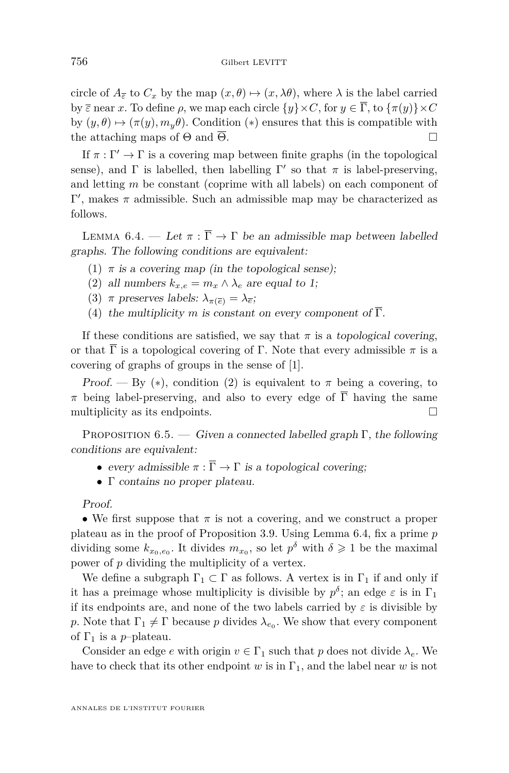<span id="page-32-0"></span>circle of  $A_{\overline{\varepsilon}}$  to  $C_x$  by the map  $(x, \theta) \mapsto (x, \lambda\theta)$ , where  $\lambda$  is the label carried by  $\overline{\varepsilon}$  near *x*. To define  $\rho$ , we map each circle  $\{y\} \times C$ , for  $y \in \overline{\Gamma}$ , to  $\{\pi(y)\} \times C$ by  $(y, \theta) \mapsto (\pi(y), m_y \theta)$ . Condition (\*) ensures that this is compatible with the attaching maps of  $\Theta$  and  $\overline{\Theta}$ .

If  $\pi : \Gamma' \to \Gamma$  is a covering map between finite graphs (in the topological sense), and  $\Gamma$  is labelled, then labelling  $\Gamma'$  so that  $\pi$  is label-preserving, and letting *m* be constant (coprime with all labels) on each component of  $Γ'$ , makes *π* admissible. Such an admissible map may be characterized as follows.

LEMMA 6.4. — Let  $\pi : \overline{\Gamma} \to \Gamma$  be an admissible map between labelled graphs. The following conditions are equivalent:

- (1)  $\pi$  is a covering map (in the topological sense);
- (2) all numbers  $k_{x,e} = m_x \wedge \lambda_e$  are equal to 1;
- (3) *π* preserves labels:  $\lambda_{\pi(\overline{e})} = \lambda_{\overline{e}};$
- (4) the multiplicity *m* is constant on every component of  $\overline{\Gamma}$ .

If these conditions are satisfied, we say that  $\pi$  is a topological covering, or that  $\overline{\Gamma}$  is a topological covering of  $\Gamma$ . Note that every admissible  $\pi$  is a covering of graphs of groups in the sense of [\[1\]](#page-36-0).

Proof. — By (\*), condition (2) is equivalent to  $\pi$  being a covering, to *π* being label-preserving, and also to every edge of  $\overline{\Gamma}$  having the same multiplicity as its endpoints.  $\Box$ 

PROPOSITION 6.5. — Given a connected labelled graph  $\Gamma$ , the following conditions are equivalent:

- every admissible  $\pi : \overline{\Gamma} \to \Gamma$  is a topological covering;
- Γ contains no proper plateau.

Proof.

• We first suppose that  $\pi$  is not a covering, and we construct a proper plateau as in the proof of Proposition [3.9.](#page-11-0) Using Lemma 6.4, fix a prime *p* dividing some  $k_{x_0,e_0}$ . It divides  $m_{x_0}$ , so let  $p^{\delta}$  with  $\delta \geq 1$  be the maximal power of *p* dividing the multiplicity of a vertex.

We define a subgraph  $\Gamma_1 \subset \Gamma$  as follows. A vertex is in  $\Gamma_1$  if and only if it has a preimage whose multiplicity is divisible by  $p^{\delta}$ ; an edge  $\varepsilon$  is in  $\Gamma_1$ if its endpoints are, and none of the two labels carried by  $\varepsilon$  is divisible by *p*. Note that  $\Gamma_1 \neq \Gamma$  because *p* divides  $\lambda_{e_0}$ . We show that every component of  $\Gamma_1$  is a *p*-plateau.

Consider an edge *e* with origin  $v \in \Gamma_1$  such that *p* does not divide  $\lambda_e$ . We have to check that its other endpoint *w* is in  $\Gamma_1$ , and the label near *w* is not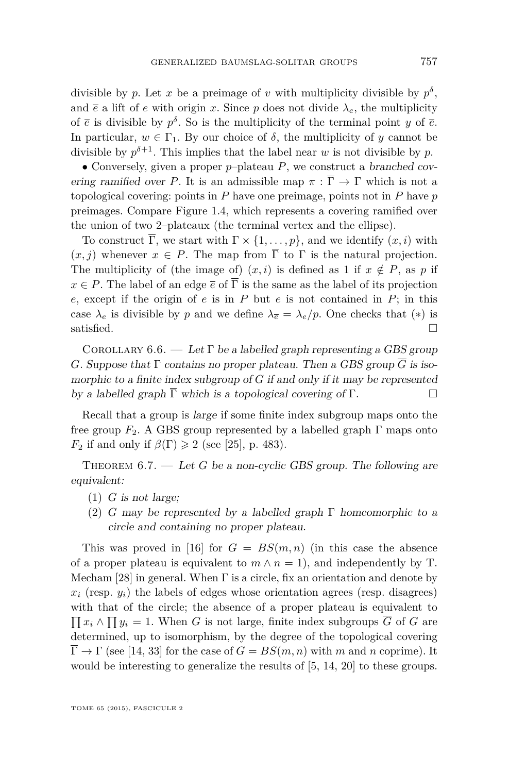<span id="page-33-0"></span>divisible by *p*. Let *x* be a preimage of *v* with multiplicity divisible by  $p^{\delta}$ , and  $\bar{e}$  a lift of *e* with origin *x*. Since *p* does not divide  $\lambda_e$ , the multiplicity of  $\bar{e}$  is divisible by  $p^{\delta}$ . So is the multiplicity of the terminal point *y* of  $\bar{e}$ . In particular,  $w \in \Gamma_1$ . By our choice of  $\delta$ , the multiplicity of *y* cannot be divisible by  $p^{\delta+1}$ . This implies that the label near *w* is not divisible by *p*.

• Conversely, given a proper *p*–plateau *P*, we construct a branched covering ramified over *P*. It is an admissible map  $\pi : \overline{\Gamma} \to \Gamma$  which is not a topological covering: points in *P* have one preimage, points not in *P* have *p* preimages. Compare Figure [1.4,](#page-5-0) which represents a covering ramified over the union of two 2–plateaux (the terminal vertex and the ellipse).

To construct  $\overline{\Gamma}$ , we start with  $\Gamma \times \{1, \ldots, p\}$ , and we identify  $(x, i)$  with  $(x, j)$  whenever  $x \in P$ . The map from  $\overline{\Gamma}$  to  $\Gamma$  is the natural projection. The multiplicity of (the image of)  $(x, i)$  is defined as 1 if  $x \notin P$ , as p if  $x \in P$ . The label of an edge  $\bar{e}$  of  $\bar{\Gamma}$  is the same as the label of its projection *e*, except if the origin of *e* is in *P* but *e* is not contained in *P*; in this case  $\lambda_e$  is divisible by *p* and we define  $\lambda_{\bar{e}} = \lambda_e/p$ . One checks that (\*) is satisfied.  $\Box$ 

COROLLARY 6.6. — Let  $\Gamma$  be a labelled graph representing a GBS group *G*. Suppose that  $\Gamma$  contains no proper plateau. Then a GBS group  $\overline{G}$  is isomorphic to a finite index subgroup of *G* if and only if it may be represented by a labelled graph  $\overline{\Gamma}$  which is a topological covering of  $\Gamma$ .

Recall that a group is large if some finite index subgroup maps onto the free group  $F_2$ . A GBS group represented by a labelled graph  $\Gamma$  maps onto *F*<sub>2</sub> if and only if  $\beta(\Gamma) \geq 2$  (see [\[25\]](#page-37-0), p. 483).

THEOREM 6.7. — Let *G* be a non-cyclic GBS group. The following are equivalent:

- (1) *G* is not large;
- (2) *G* may be represented by a labelled graph  $\Gamma$  homeomorphic to a circle and containing no proper plateau.

This was proved in [\[16\]](#page-37-0) for  $G = BS(m, n)$  (in this case the absence of a proper plateau is equivalent to  $m \wedge n = 1$ , and independently by T. Mecham [\[28\]](#page-37-0) in general. When  $\Gamma$  is a circle, fix an orientation and denote by  $x_i$  (resp.  $y_i$ ) the labels of edges whose orientation agrees (resp. disagrees) with that of the circle; the absence of a proper plateau is equivalent to  $\prod x_i \wedge \prod y_i = 1$ . When *G* is not large, finite index subgroups  $\overline{G}$  of *G* are determined, up to isomorphism, by the degree of the topological covering  $\overline{\Gamma} \to \Gamma$  (see [\[14,](#page-37-0) [33\]](#page-37-0) for the case of  $G = BS(m, n)$  with m and n coprime). It would be interesting to generalize the results of [\[5,](#page-36-0) [14,](#page-37-0) [20\]](#page-37-0) to these groups.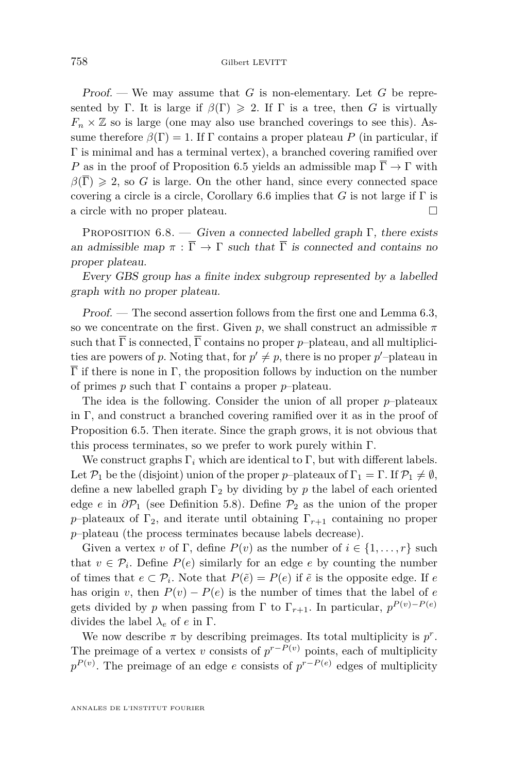<span id="page-34-0"></span>Proof. — We may assume that *G* is non-elementary. Let *G* be represented by Γ. It is large if  $\beta(\Gamma) \geq 2$ . If Γ is a tree, then *G* is virtually  $F_n \times \mathbb{Z}$  so is large (one may also use branched coverings to see this). Assume therefore  $\beta(\Gamma) = 1$ . If  $\Gamma$  contains a proper plateau *P* (in particular, if Γ is minimal and has a terminal vertex), a branched covering ramified over *P* as in the proof of Proposition [6.5](#page-32-0) yields an admissible map  $\overline{\Gamma} \to \Gamma$  with  $\beta(\overline{\Gamma}) \geq 2$ , so *G* is large. On the other hand, since every connected space covering a circle is a circle, Corollary [6.6](#page-33-0) implies that *G* is not large if  $\Gamma$  is a circle with no proper plateau.

PROPOSITION  $6.8.$  — Given a connected labelled graph Γ, there exists an admissible map  $\pi : \overline{\Gamma} \to \Gamma$  such that  $\overline{\Gamma}$  is connected and contains no proper plateau.

Every GBS group has a finite index subgroup represented by a labelled graph with no proper plateau.

Proof. — The second assertion follows from the first one and Lemma [6.3,](#page-31-0) so we concentrate on the first. Given  $p$ , we shall construct an admissible  $\pi$ such that  $\overline{\Gamma}$  is connected,  $\overline{\Gamma}$  contains no proper *p*–plateau, and all multiplicities are powers of p. Noting that, for  $p' \neq p$ , there is no proper p'-plateau in  $\overline{\Gamma}$  if there is none in Γ, the proposition follows by induction on the number of primes *p* such that Γ contains a proper *p*–plateau.

The idea is the following. Consider the union of all proper *p*–plateaux in Γ, and construct a branched covering ramified over it as in the proof of Proposition [6.5.](#page-32-0) Then iterate. Since the graph grows, it is not obvious that this process terminates, so we prefer to work purely within  $\Gamma$ .

We construct graphs  $\Gamma_i$  which are identical to  $\Gamma$ , but with different labels. Let  $\mathcal{P}_1$  be the (disjoint) union of the proper *p*–plateaux of  $\Gamma_1 = \Gamma$ . If  $\mathcal{P}_1 \neq \emptyset$ , define a new labelled graph  $\Gamma_2$  by dividing by p the label of each oriented edge *e* in  $\partial P_1$  (see Definition [5.8\)](#page-19-0). Define  $P_2$  as the union of the proper *p*–plateaux of  $\Gamma_2$ , and iterate until obtaining  $\Gamma_{r+1}$  containing no proper *p*–plateau (the process terminates because labels decrease).

Given a vertex *v* of Γ, define  $P(v)$  as the number of  $i \in \{1, \ldots, r\}$  such that  $v \in \mathcal{P}_i$ . Define  $P(e)$  similarly for an edge *e* by counting the number of times that  $e \subset \mathcal{P}_i$ . Note that  $P(\tilde{e}) = P(e)$  if  $\tilde{e}$  is the opposite edge. If  $e$ has origin *v*, then  $P(v) - P(e)$  is the number of times that the label of *e* gets divided by *p* when passing from  $\Gamma$  to  $\Gamma_{r+1}$ . In particular,  $p^{P(v)-P(e)}$ divides the label  $\lambda_e$  of *e* in  $\Gamma$ .

We now describe  $\pi$  by describing preimages. Its total multiplicity is  $p^r$ . The preimage of a vertex *v* consists of  $p^{r-P(v)}$  points, each of multiplicity  $p^{P(v)}$ . The preimage of an edge *e* consists of  $p^{r-P(e)}$  edges of multiplicity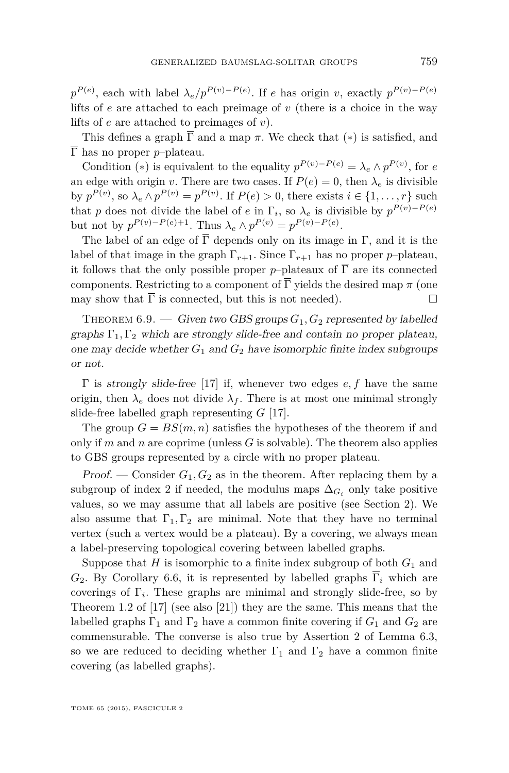<span id="page-35-0"></span> $p^{P(e)}$ , each with label  $\lambda_e / p^{P(v)-P(e)}$ . If *e* has origin *v*, exactly  $p^{P(v)-P(e)}$ lifts of *e* are attached to each preimage of *v* (there is a choice in the way lifts of *e* are attached to preimages of *v*).

This defines a graph  $\overline{\Gamma}$  and a map  $\pi$ . We check that (\*) is satisfied, and  $\overline{\Gamma}$  has no proper *p*-plateau.

Condition (\*) is equivalent to the equality  $p^{P(v)-P(e)} = \lambda_e \wedge p^{P(v)}$ , for *e* an edge with origin *v*. There are two cases. If  $P(e) = 0$ , then  $\lambda_e$  is divisible by  $p^{P(v)}$ , so  $\lambda_e \wedge p^{P(v)} = p^{P(v)}$ . If  $P(e) > 0$ , there exists  $i \in \{1, \ldots, r\}$  such that *p* does not divide the label of *e* in  $\Gamma_i$ , so  $\lambda_e$  is divisible by  $p^{P(v)-P(e)}$ but not by  $p^{P(v)-P(e)+1}$ . Thus  $\lambda_e \wedge p^{P(v)} = p^{P(v)-P(e)}$ .

The label of an edge of  $\overline{\Gamma}$  depends only on its image in  $\Gamma$ , and it is the label of that image in the graph  $\Gamma_{r+1}$ . Since  $\Gamma_{r+1}$  has no proper *p*–plateau, it follows that the only possible proper *p*–plateaux of  $\overline{\Gamma}$  are its connected components. Restricting to a component of  $\overline{\Gamma}$  yields the desired map  $\pi$  (one may show that  $\overline{\Gamma}$  is connected, but this is not needed).

THEOREM  $6.9.$  — Given two GBS groups  $G_1, G_2$  represented by labelled graphs  $\Gamma_1, \Gamma_2$  which are strongly slide-free and contain no proper plateau, one may decide whether  $G_1$  and  $G_2$  have isomorphic finite index subgroups or not.

Γ is strongly slide-free [\[17\]](#page-37-0) if, whenever two edges *e, f* have the same origin, then  $\lambda_e$  does not divide  $\lambda_f$ . There is at most one minimal strongly slide-free labelled graph representing *G* [\[17\]](#page-37-0).

The group  $G = BS(m, n)$  satisfies the hypotheses of the theorem if and only if  $m$  and  $n$  are coprime (unless  $G$  is solvable). The theorem also applies to GBS groups represented by a circle with no proper plateau.

Proof. — Consider  $G_1, G_2$  as in the theorem. After replacing them by a subgroup of index 2 if needed, the modulus maps  $\Delta_{G_i}$  only take positive values, so we may assume that all labels are positive (see Section [2\)](#page-6-0). We also assume that  $\Gamma_1, \Gamma_2$  are minimal. Note that they have no terminal vertex (such a vertex would be a plateau). By a covering, we always mean a label-preserving topological covering between labelled graphs.

Suppose that  $H$  is isomorphic to a finite index subgroup of both  $G_1$  and  $G_2$ . By Corollary [6.6,](#page-33-0) it is represented by labelled graphs  $\overline{\Gamma}_i$  which are coverings of  $\Gamma_i$ . These graphs are minimal and strongly slide-free, so by Theorem 1.2 of [\[17\]](#page-37-0) (see also [\[21\]](#page-37-0)) they are the same. This means that the labelled graphs  $\Gamma_1$  and  $\Gamma_2$  have a common finite covering if  $G_1$  and  $G_2$  are commensurable. The converse is also true by Assertion 2 of Lemma [6.3,](#page-31-0) so we are reduced to deciding whether  $\Gamma_1$  and  $\Gamma_2$  have a common finite covering (as labelled graphs).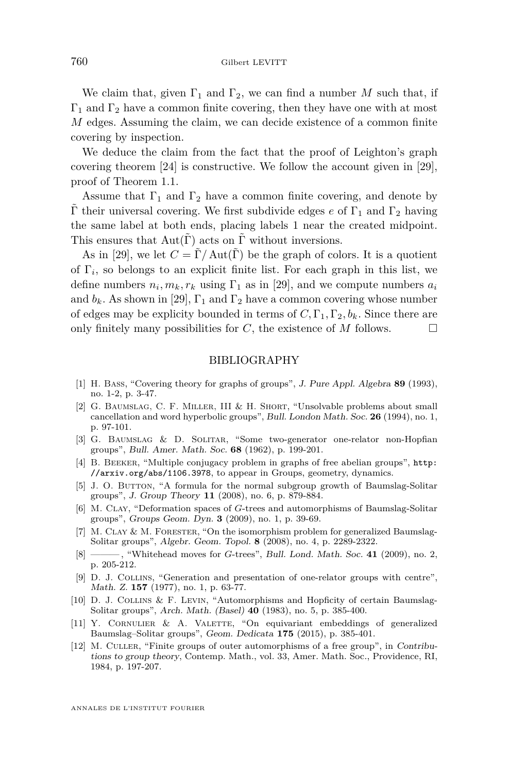<span id="page-36-0"></span>We claim that, given  $\Gamma_1$  and  $\Gamma_2$ , we can find a number *M* such that, if  $\Gamma_1$  and  $\Gamma_2$  have a common finite covering, then they have one with at most *M* edges. Assuming the claim, we can decide existence of a common finite covering by inspection.

We deduce the claim from the fact that the proof of Leighton's graph covering theorem [\[24\]](#page-37-0) is constructive. We follow the account given in [\[29\]](#page-37-0), proof of Theorem 1.1.

Assume that  $\Gamma_1$  and  $\Gamma_2$  have a common finite covering, and denote by  $\Gamma$  their universal covering. We first subdivide edges *e* of  $\Gamma_1$  and  $\Gamma_2$  having the same label at both ends, placing labels 1 near the created midpoint. This ensures that  $Aut(\tilde{\Gamma})$  acts on  $\tilde{\Gamma}$  without inversions.

As in [\[29\]](#page-37-0), we let  $C = \tilde{\Gamma}/\text{Aut}(\tilde{\Gamma})$  be the graph of colors. It is a quotient of  $\Gamma_i$ , so belongs to an explicit finite list. For each graph in this list, we define numbers  $n_i, m_k, r_k$  using  $\Gamma_1$  as in [\[29\]](#page-37-0), and we compute numbers  $a_i$ and  $b_k$ . As shown in [\[29\]](#page-37-0),  $\Gamma_1$  and  $\Gamma_2$  have a common covering whose number of edges may be explicity bounded in terms of  $C, \Gamma_1, \Gamma_2, b_k$ . Since there are only finitely many possibilities for *C*, the existence of *M* follows.

#### BIBLIOGRAPHY

- [1] H. Bass, "Covering theory for graphs of groups", J. Pure Appl. Algebra **89** (1993), no. 1-2, p. 3-47.
- [2] G. Baumslag, C. F. Miller, III & H. Short, "Unsolvable problems about small cancellation and word hyperbolic groups", Bull. London Math. Soc. **26** (1994), no. 1, p. 97-101.
- [3] G. Baumslag & D. Solitar, "Some two-generator one-relator non-Hopfian groups", Bull. Amer. Math. Soc. **68** (1962), p. 199-201.
- [4] B. Beeker, "Multiple conjugacy problem in graphs of free abelian groups", [http:](http://arxiv.org/abs/1106.3978) [//arxiv.org/abs/1106.3978](http://arxiv.org/abs/1106.3978), to appear in Groups, geometry, dynamics.
- [5] J. O. BUTTON, "A formula for the normal subgroup growth of Baumslag-Solitar groups", J. Group Theory **11** (2008), no. 6, p. 879-884.
- [6] M. CLAY, "Deformation spaces of *G*-trees and automorphisms of Baumslag-Solitar groups", Groups Geom. Dyn. **3** (2009), no. 1, p. 39-69.
- [7] M. CLAY & M. FORESTER, "On the isomorphism problem for generalized Baumslag-Solitar groups", Algebr. Geom. Topol. **8** (2008), no. 4, p. 2289-2322.
- [8] ——— , "Whitehead moves for *G*-trees", Bull. Lond. Math. Soc. **41** (2009), no. 2, p. 205-212.
- [9] D. J. Collins, "Generation and presentation of one-relator groups with centre", Math. Z. **157** (1977), no. 1, p. 63-77.
- [10] D. J. Collins & F. Levin, "Automorphisms and Hopficity of certain Baumslag-Solitar groups", Arch. Math. (Basel) **40** (1983), no. 5, p. 385-400.
- [11] Y. Cornulier & A. Valette, "On equivariant embeddings of generalized Baumslag–Solitar groups", Geom. Dedicata **175** (2015), p. 385-401.
- [12] M. Culler, "Finite groups of outer automorphisms of a free group", in Contributions to group theory, Contemp. Math., vol. 33, Amer. Math. Soc., Providence, RI, 1984, p. 197-207.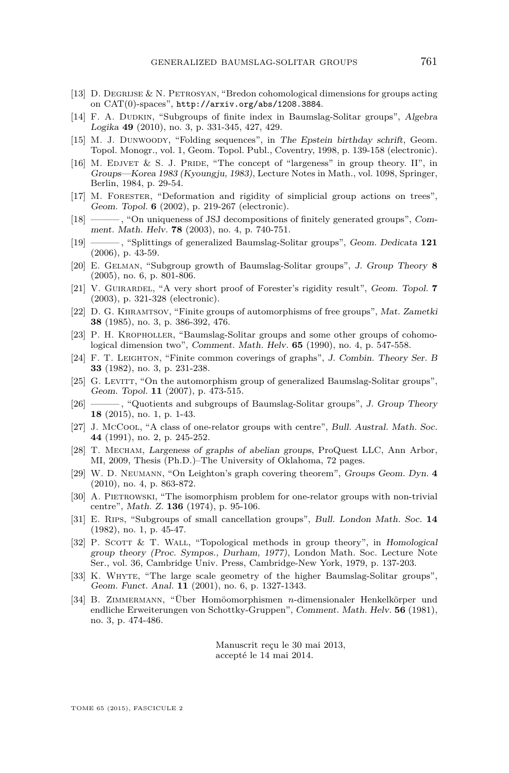- <span id="page-37-0"></span>[13] D. Degrijse & N. Petrosyan, "Bredon cohomological dimensions for groups acting on CAT(0)-spaces", <http://arxiv.org/abs/1208.3884>.
- [14] F. A. DUDKIN, "Subgroups of finite index in Baumslag-Solitar groups", Algebra Logika **49** (2010), no. 3, p. 331-345, 427, 429.
- [15] M. J. Dunwoody, "Folding sequences", in The Epstein birthday schrift, Geom. Topol. Monogr., vol. 1, Geom. Topol. Publ., Coventry, 1998, p. 139-158 (electronic).
- [16] M. EDJVET  $\&$  S. J. PRIDE, "The concept of "largeness" in group theory. II", in Groups—Korea 1983 (Kyoungju, 1983), Lecture Notes in Math., vol. 1098, Springer, Berlin, 1984, p. 29-54.
- [17] M. Forester, "Deformation and rigidity of simplicial group actions on trees", Geom. Topol. **6** (2002), p. 219-267 (electronic).
- [18] ——— , "On uniqueness of JSJ decompositions of finitely generated groups", Comment. Math. Helv. **78** (2003), no. 4, p. 740-751.
- [19] ——— , "Splittings of generalized Baumslag-Solitar groups", Geom. Dedicata **121** (2006), p. 43-59.
- [20] E. Gelman, "Subgroup growth of Baumslag-Solitar groups", J. Group Theory **8** (2005), no. 6, p. 801-806.
- [21] V. Guirardel, "A very short proof of Forester's rigidity result", Geom. Topol. **7** (2003), p. 321-328 (electronic).
- [22] D. G. Khramtsov, "Finite groups of automorphisms of free groups", Mat. Zametki **38** (1985), no. 3, p. 386-392, 476.
- [23] P. H. Kropholler, "Baumslag-Solitar groups and some other groups of cohomological dimension two", Comment. Math. Helv. **65** (1990), no. 4, p. 547-558.
- [24] F. T. Leighton, "Finite common coverings of graphs", J. Combin. Theory Ser. B **33** (1982), no. 3, p. 231-238.
- [25] G. LEVITT, "On the automorphism group of generalized Baumslag-Solitar groups", Geom. Topol. **11** (2007), p. 473-515.
- [26] ——— , "Quotients and subgroups of Baumslag-Solitar groups", J. Group Theory **18** (2015), no. 1, p. 1-43.
- [27] J. McCool, "A class of one-relator groups with centre", Bull. Austral. Math. Soc. **44** (1991), no. 2, p. 245-252.
- [28] T. Mecham, Largeness of graphs of abelian groups, ProQuest LLC, Ann Arbor, MI, 2009, Thesis (Ph.D.)–The University of Oklahoma, 72 pages.
- [29] W. D. Neumann, "On Leighton's graph covering theorem", Groups Geom. Dyn. **4** (2010), no. 4, p. 863-872.
- [30] A. PIETROWSKI, "The isomorphism problem for one-relator groups with non-trivial centre", Math. Z. **136** (1974), p. 95-106.
- [31] E. Rips, "Subgroups of small cancellation groups", Bull. London Math. Soc. **14** (1982), no. 1, p. 45-47.
- [32] P. SCOTT & T. WALL, "Topological methods in group theory", in Homological group theory (Proc. Sympos., Durham, 1977), London Math. Soc. Lecture Note Ser., vol. 36, Cambridge Univ. Press, Cambridge-New York, 1979, p. 137-203.
- [33] K. Whyte, "The large scale geometry of the higher Baumslag-Solitar groups", Geom. Funct. Anal. **11** (2001), no. 6, p. 1327-1343.
- [34] B. Zimmermann, "Über Homöomorphismen *n*-dimensionaler Henkelkörper und endliche Erweiterungen von Schottky-Gruppen", Comment. Math. Helv. **56** (1981), no. 3, p. 474-486.

Manuscrit reçu le 30 mai 2013, accepté le 14 mai 2014.